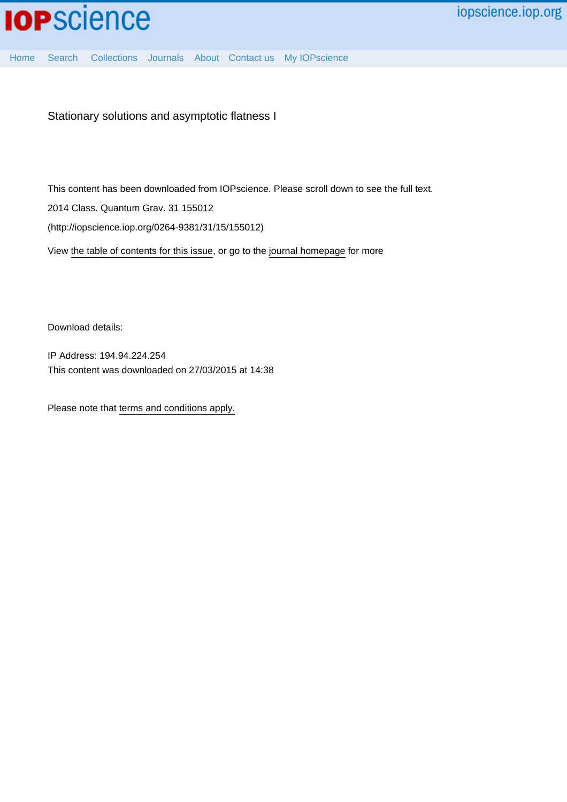

Stationary solutions and asymptotic flatness I

This content has been downloaded from IOPscience. Please scroll down to see the full text.

2014 Class. Quantum Grav. 31 155012

(http://iopscience.iop.org/0264-9381/31/15/155012)

View [the table of contents for this issue](http://iopscience.iop.org/0264-9381/31/15), or go to the [journal homepage](http://iopscience.iop.org/0264-9381) for more

Download details:

IP Address: 194.94.224.254 This content was downloaded on 27/03/2015 at 14:38

Please note that [terms and conditions apply.](iopscience.iop.org/page/terms)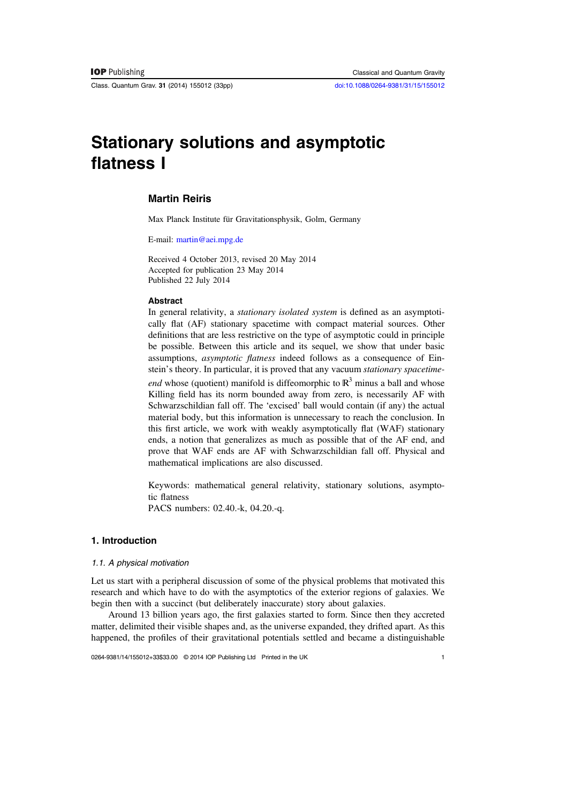Class. Quantum Grav. 31 (2014) 155012 (33pp) [doi:10.1088/0264-9381/31/15/155012](http://dx.doi.org/10.1088/0264-9381/31/15/155012)

# Stationary solutions and asymptotic flatness I

# Martin Reiris

Max Planck Institute für Gravitationsphysik, Golm, Germany

E-mail: [martin@aei.mpg.de](mailto:martin@aei.mpg.de)

Received 4 October 2013, revised 20 May 2014 Accepted for publication 23 May 2014 Published 22 July 2014

#### Abstract

In general relativity, a stationary isolated system is defined as an asymptotically flat (AF) stationary spacetime with compact material sources. Other definitions that are less restrictive on the type of asymptotic could in principle be possible. Between this article and its sequel, we show that under basic assumptions, asymptotic flatness indeed follows as a consequence of Einstein's theory. In particular, it is proved that any vacuum stationary spacetime-

end whose (quotient) manifold is diffeomorphic to  $\mathbb{R}^3$  minus a ball and whose Killing field has its norm bounded away from zero, is necessarily AF with Schwarzschildian fall off. The 'excised' ball would contain (if any) the actual material body, but this information is unnecessary to reach the conclusion. In this first article, we work with weakly asymptotically flat (WAF) stationary ends, a notion that generalizes as much as possible that of the AF end, and prove that WAF ends are AF with Schwarzschildian fall off. Physical and mathematical implications are also discussed.

Keywords: mathematical general relativity, stationary solutions, asymptotic flatness

PACS numbers: 02.40.-k, 04.20.-q.

# 1. Introduction

#### 1.1. A physical motivation

Let us start with a peripheral discussion of some of the physical problems that motivated this research and which have to do with the asymptotics of the exterior regions of galaxies. We begin then with a succinct (but deliberately inaccurate) story about galaxies.

Around 13 billion years ago, the first galaxies started to form. Since then they accreted matter, delimited their visible shapes and, as the universe expanded, they drifted apart. As this happened, the profiles of their gravitational potentials settled and became a distinguishable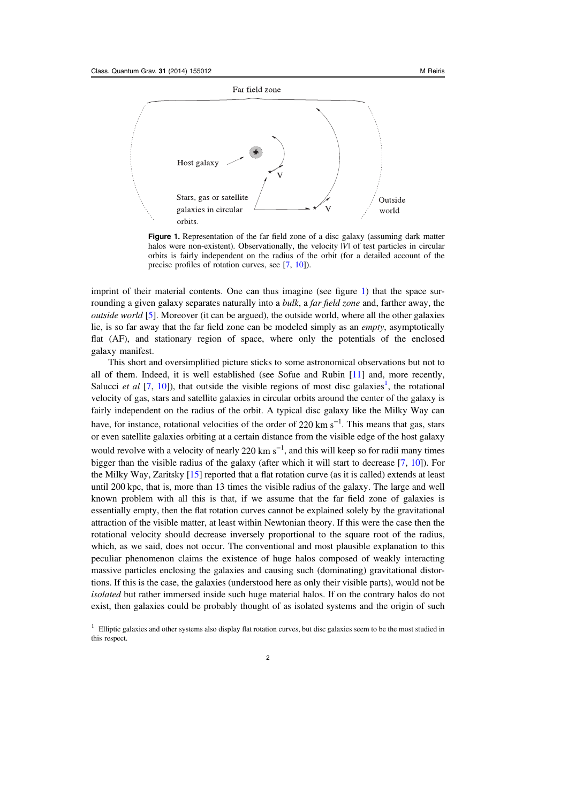

Figure 1. Representation of the far field zone of a disc galaxy (assuming dark matter halos were non-existent). Observationally, the velocity  $|V|$  of test particles in circular orbits is fairly independent on the radius of the orbit (for a detailed account of the precise profiles of rotation curves, see [[7,](#page-33-0) [10](#page-33-0)]).

imprint of their material contents. One can thus imagine (see figure 1) that the space surrounding a given galaxy separates naturally into a *bulk*, a *far field zone* and, farther away, the *outside world* [[5](#page-33-0)]. Moreover (it can be argued), the outside world, where all the other galaxies lie, is so far away that the far field zone can be modeled simply as an empty, asymptotically flat (AF), and stationary region of space, where only the potentials of the enclosed galaxy manifest.

This short and oversimplified picture sticks to some astronomical observations but not to all of them. Indeed, it is well established (see Sofue and Rubin [\[11](#page-33-0)] and, more recently, Salucci et al  $[7, 10]$  $[7, 10]$  $[7, 10]$  $[7, 10]$ ), that outside the visible regions of most disc galaxies<sup>1</sup>, the rotational velocity of gas, stars and satellite galaxies in circular orbits around the center of the galaxy is fairly independent on the radius of the orbit. A typical disc galaxy like the Milky Way can have, for instance, rotational velocities of the order of 220 km s<sup>-1</sup>. This means that gas, stars or even satellite galaxies orbiting at a certain distance from the visible edge of the host galaxy would revolve with a velocity of nearly 220 km  $s^{-1}$ , and this will keep so for radii many times bigger than the visible radius of the galaxy (after which it will start to decrease [\[7](#page-33-0), [10\]](#page-33-0)). For the Milky Way, Zaritsky [[15\]](#page-33-0) reported that a flat rotation curve (as it is called) extends at least until 200 kpc, that is, more than 13 times the visible radius of the galaxy. The large and well known problem with all this is that, if we assume that the far field zone of galaxies is essentially empty, then the flat rotation curves cannot be explained solely by the gravitational attraction of the visible matter, at least within Newtonian theory. If this were the case then the rotational velocity should decrease inversely proportional to the square root of the radius, which, as we said, does not occur. The conventional and most plausible explanation to this peculiar phenomenon claims the existence of huge halos composed of weakly interacting massive particles enclosing the galaxies and causing such (dominating) gravitational distortions. If this is the case, the galaxies (understood here as only their visible parts), would not be isolated but rather immersed inside such huge material halos. If on the contrary halos do not exist, then galaxies could be probably thought of as isolated systems and the origin of such

<sup>&</sup>lt;sup>1</sup> Elliptic galaxies and other systems also display flat rotation curves, but disc galaxies seem to be the most studied in this respect.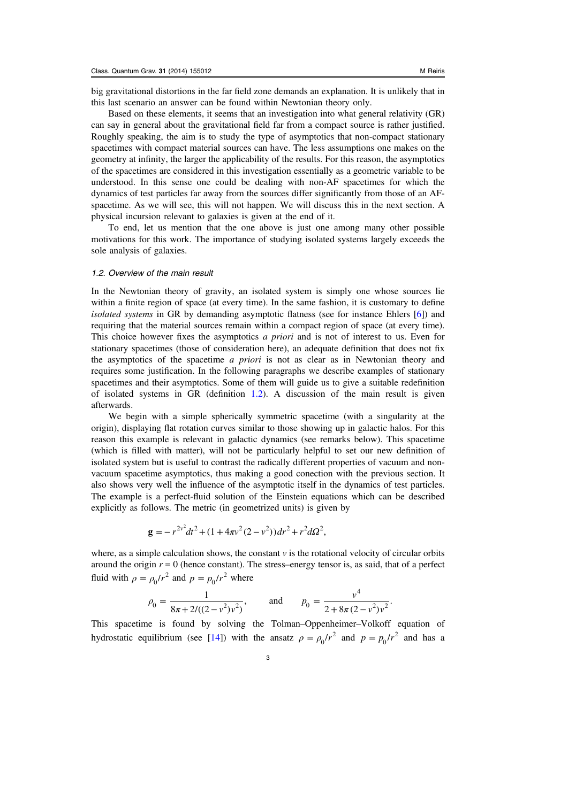big gravitational distortions in the far field zone demands an explanation. It is unlikely that in this last scenario an answer can be found within Newtonian theory only.

Based on these elements, it seems that an investigation into what general relativity (GR) can say in general about the gravitational field far from a compact source is rather justified. Roughly speaking, the aim is to study the type of asymptotics that non-compact stationary spacetimes with compact material sources can have. The less assumptions one makes on the geometry at infinity, the larger the applicability of the results. For this reason, the asymptotics of the spacetimes are considered in this investigation essentially as a geometric variable to be understood. In this sense one could be dealing with non-AF spacetimes for which the dynamics of test particles far away from the sources differ significantly from those of an AFspacetime. As we will see, this will not happen. We will discuss this in the next section. A physical incursion relevant to galaxies is given at the end of it.

To end, let us mention that the one above is just one among many other possible motivations for this work. The importance of studying isolated systems largely exceeds the sole analysis of galaxies.

## 1.2. Overview of the main result

In the Newtonian theory of gravity, an isolated system is simply one whose sources lie within a finite region of space (at every time). In the same fashion, it is customary to define isolated systems in GR by demanding asymptotic flatness (see for instance Ehlers [[6\]](#page-33-0)) and requiring that the material sources remain within a compact region of space (at every time). This choice however fixes the asymptotics *a priori* and is not of interest to us. Even for stationary spacetimes (those of consideration here), an adequate definition that does not fix the asymptotics of the spacetime *a priori* is not as clear as in Newtonian theory and requires some justification. In the following paragraphs we describe examples of stationary spacetimes and their asymptotics. Some of them will guide us to give a suitable redefinition of isolated systems in GR (definition [1.2\)](#page-6-0). A discussion of the main result is given afterwards.

We begin with a simple spherically symmetric spacetime (with a singularity at the origin), displaying flat rotation curves similar to those showing up in galactic halos. For this reason this example is relevant in galactic dynamics (see remarks below). This spacetime (which is filled with matter), will not be particularly helpful to set our new definition of isolated system but is useful to contrast the radically different properties of vacuum and nonvacuum spacetime asymptotics, thus making a good conection with the previous section. It also shows very well the influence of the asymptotic itself in the dynamics of test particles. The example is a perfect-fluid solution of the Einstein equations which can be described explicitly as follows. The metric (in geometrized units) is given by

$$
\mathbf{g} = -r^{2v^2}dt^2 + (1 + 4\pi v^2(2 - v^2))dr^2 + r^2d\Omega^2,
$$

where, as a simple calculation shows, the constant  $v$  is the rotational velocity of circular orbits around the origin  $r = 0$  (hence constant). The stress–energy tensor is, as said, that of a perfect fluid with  $\rho = \rho_0 / r^2$  and  $p = p_0 / r^2$  where

$$
\rho_0 = \frac{1}{8\pi + 2/((2 - v^2)v^2)}, \quad \text{and} \quad p_0 = \frac{v^4}{2 + 8\pi (2 - v^2)v^2}.
$$

This spacetime is found by solving the Tolman–Oppenheimer–Volkoff equation of hydrostatic equilibrium (see [[14\]](#page-33-0)) with the ansatz  $\rho = \rho_0/r^2$  and  $p = p_0/r^2$  and has a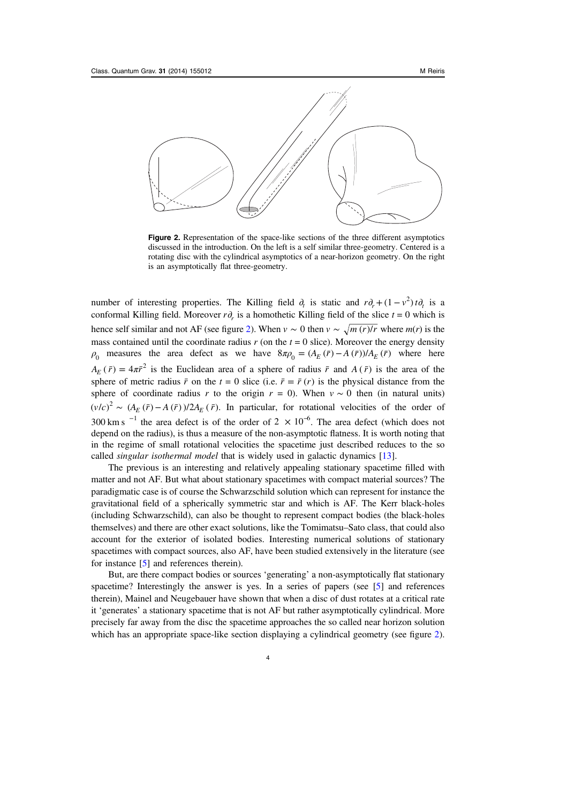

Figure 2. Representation of the space-like sections of the three different asymptotics discussed in the introduction. On the left is a self similar three-geometry. Centered is a rotating disc with the cylindrical asymptotics of a near-horizon geometry. On the right is an asymptotically flat three-geometry.

number of interesting properties. The Killing field  $\partial_t$  is static and  $r\partial_r + (1 - v^2)t\partial_t$  is a conformal Killing field. Moreover *r*∂<sub>*r*</sub> is a homothetic Killing field of the slice  $t = 0$  which is hence self similar and not AF (see figure 2). When  $v \sim 0$  then  $v \sim \sqrt{m(r)/r}$  where  $m(r)$  is the mass contained until the coordinate radius  $r$  (on the  $t = 0$  slice). Moreover the energy density *ρ*<sub>0</sub> measures the area defect as we have  $8\pi\rho_0 = (A_E(\bar{r}) - A(\bar{r}))/A_E(\bar{r})$  where here  $A_E(\bar{r}) = 4\pi \bar{r}^2$  is the Euclidean area of a sphere of radius  $\bar{r}$  and  $A(\bar{r})$  is the area of the sphere of metric radius  $\bar{r}$  on the  $t = 0$  slice (i.e.  $\bar{r} = \bar{r}(r)$  is the physical distance from the sphere of coordinate radius r to the origin  $r = 0$ ). When  $v \sim 0$  then (in natural units)  $(v/c)^2 \sim (A_E(\bar{r}) - A(\bar{r}))/2A_E(\bar{r})$ . In particular, for rotational velocities of the order of 300 km s<sup>-1</sup> the area defect is of the order of 2  $\times$  10<sup>-6</sup>. The area defect (which does not depend on the radius), is thus a measure of the non-asymptotic flatness. It is worth noting that in the regime of small rotational velocities the spacetime just described reduces to the so called singular isothermal model that is widely used in galactic dynamics [[13\]](#page-33-0).

The previous is an interesting and relatively appealing stationary spacetime filled with matter and not AF. But what about stationary spacetimes with compact material sources? The paradigmatic case is of course the Schwarzschild solution which can represent for instance the gravitational field of a spherically symmetric star and which is AF. The Kerr black-holes (including Schwarzschild), can also be thought to represent compact bodies (the black-holes themselves) and there are other exact solutions, like the Tomimatsu–Sato class, that could also account for the exterior of isolated bodies. Interesting numerical solutions of stationary spacetimes with compact sources, also AF, have been studied extensively in the literature (see for instance [\[5](#page-33-0)] and references therein).

But, are there compact bodies or sources 'generating' a non-asymptotically flat stationary spacetime? Interestingly the answer is yes. In a series of papers (see [\[5](#page-33-0)] and references therein), Mainel and Neugebauer have shown that when a disc of dust rotates at a critical rate it 'generates' a stationary spacetime that is not AF but rather asymptotically cylindrical. More precisely far away from the disc the spacetime approaches the so called near horizon solution which has an appropriate space-like section displaying a cylindrical geometry (see figure 2).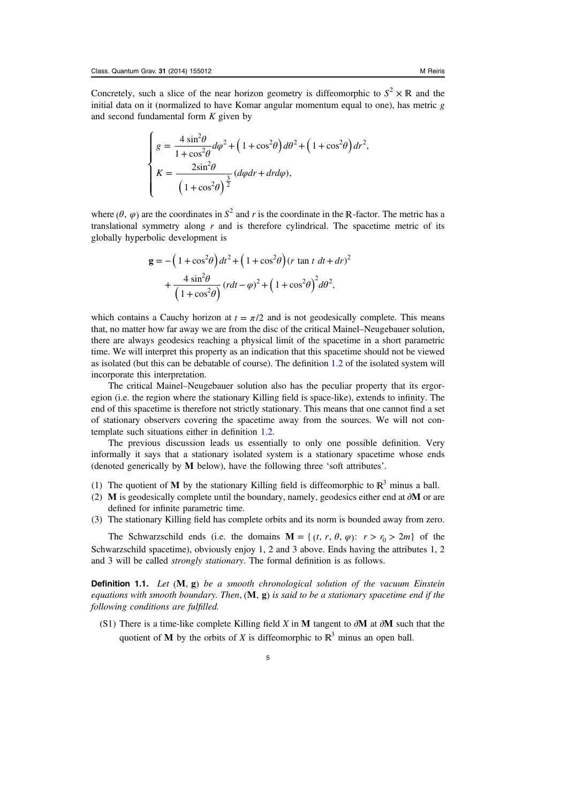Concretely, such a slice of the near horizon geometry is diffeomorphic to  $S^2 \times \mathbb{R}$  and the initial data on it (normalized to have Komar angular momentum equal to one), has metric g and second fundamental form  $K$  given by

$$
\begin{cases}\ng = \frac{4 \sin^2 \theta}{1 + \cos^2 \theta} d\varphi^2 + \left(1 + \cos^2 \theta\right) d\theta^2 + \left(1 + \cos^2 \theta\right) dr^2, \\
K = \frac{2 \sin^2 \theta}{\left(1 + \cos^2 \theta\right)^{\frac{3}{2}}} (d\varphi dr + dr d\varphi),\n\end{cases}
$$

where ( $\theta$ ,  $\varphi$ ) are the coordinates in  $S^2$  and r is the coordinate in the R-factor. The metric has a translational symmetry along  $r$  and is therefore cylindrical. The spacetime metric of its globally hyperbolic development is

$$
\mathbf{g} = -\left(1 + \cos^2\theta\right)dt^2 + \left(1 + \cos^2\theta\right)(r \tan t \, dt + dr)^2
$$

$$
+ \frac{4 \sin^2\theta}{\left(1 + \cos^2\theta\right)}\left(rdt - \varphi\right)^2 + \left(1 + \cos^2\theta\right)^2 d\theta^2,
$$

which contains a Cauchy horizon at  $t = \pi/2$  and is not geodesically complete. This means that, no matter how far away we are from the disc of the critical Mainel–Neugebauer solution, there are always geodesics reaching a physical limit of the spacetime in a short parametric time. We will interpret this property as an indication that this spacetime should not be viewed as isolated (but this can be debatable of course). The definition [1.2](#page-6-0) of the isolated system will incorporate this interpretation.

The critical Mainel–Neugebauer solution also has the peculiar property that its ergoregion (i.e. the region where the stationary Killing field is space-like), extends to infinity. The end of this spacetime is therefore not strictly stationary. This means that one cannot find a set of stationary observers covering the spacetime away from the sources. We will not contemplate such situations either in definition [1.2.](#page-6-0)

The previous discussion leads us essentially to only one possible definition. Very informally it says that a stationary isolated system is a stationary spacetime whose ends (denoted generically by **M** below), have the following three 'soft attributes'.

- (1) The quotient of **M** by the stationary Killing field is diffeomorphic to  $\mathbb{R}^3$  minus a ball.
- (2) **M** is geodesically complete until the boundary, namely, geodesics either end at ∂**M** or are defined for infinite parametric time.
- (3) The stationary Killing field has complete orbits and its norm is bounded away from zero.

The Schwarzschild ends (i.e. the domains  $\mathbf{M} = \{ (t, r, \theta, \varphi) : r > r_0 > 2m \}$  of the Schwarzschild spacetime), obviously enjoy 1, 2 and 3 above. Ends having the attributes 1, 2 and 3 will be called strongly stationary. The formal definition is as follows.

**Definition 1.1.** Let (M, g) be a smooth chronological solution of the vacuum Einstein equations with smooth boundary. Then,  $(M, g)$  is said to be a stationary spacetime end if the following conditions are fulfilled.

(S1) There is a time-like complete Killing field X in **M** tangent to ∂**M** at ∂**M** such that the quotient of **M** by the orbits of X is diffeomorphic to  $\mathbb{R}^3$  minus an open ball.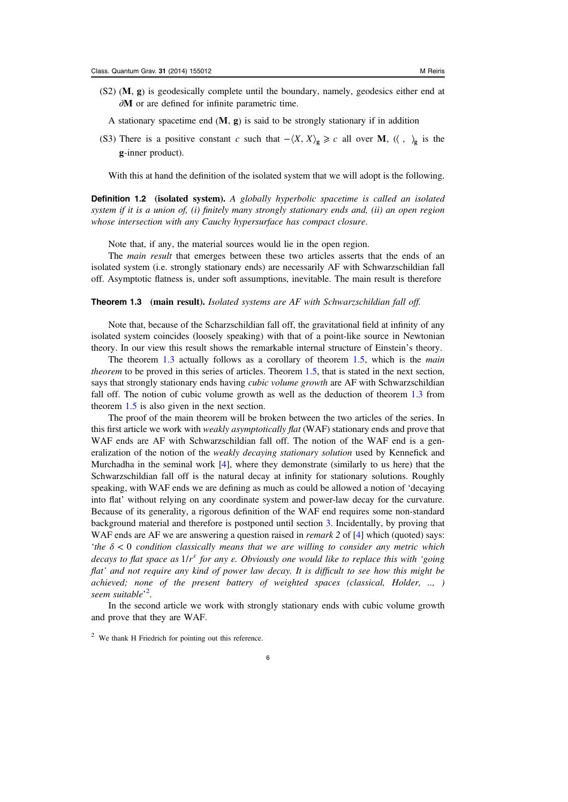- <span id="page-6-0"></span>A stationary spacetime end (M, g) is said to be strongly stationary if in addition
- (S3) There is a positive constant c such that  $-\langle X, X \rangle_{\mathbf{g}} \ge c$  all over **M**,  $(\langle , \rangle_{\mathbf{g}})$  is the **g**-inner product).

With this at hand the definition of the isolated system that we will adopt is the following.

**Definition 1.2** (isolated system). A globally hyperbolic spacetime is called an isolated system if it is a union of, (i) finitely many strongly stationary ends and, (ii) an open region whose intersection with any Cauchy hypersurface has compact closure.

Note that, if any, the material sources would lie in the open region.

The *main result* that emerges between these two articles asserts that the ends of an isolated system (i.e. strongly stationary ends) are necessarily AF with Schwarzschildian fall off. Asymptotic flatness is, under soft assumptions, inevitable. The main result is therefore

## Theorem 1.3 (main result). Isolated systems are AF with Schwarzschildian fall off.

Note that, because of the Scharzschildian fall off, the gravitational field at infinity of any isolated system coincides (loosely speaking) with that of a point-like source in Newtonian theory. In our view this result shows the remarkable internal structure of Einstein's theory.

The theorem 1.3 actually follows as a corollary of theorem [1.5](#page-8-0), which is the main theorem to be proved in this series of articles. Theorem [1.5](#page-8-0), that is stated in the next section, says that strongly stationary ends having *cubic volume growth* are AF with Schwarzschildian fall off. The notion of cubic volume growth as well as the deduction of theorem 1.3 from theorem [1.5](#page-8-0) is also given in the next section.

The proof of the main theorem will be broken between the two articles of the series. In this first article we work with *weakly asymptotically flat* (WAF) stationary ends and prove that WAF ends are AF with Schwarzschildian fall off. The notion of the WAF end is a generalization of the notion of the weakly decaying stationary solution used by Kennefick and Murchadha in the seminal work  $[4]$  $[4]$ , where they demonstrate (similarly to us here) that the Schwarzschildian fall off is the natural decay at infinity for stationary solutions. Roughly speaking, with WAF ends we are defining as much as could be allowed a notion of 'decaying into flat' without relying on any coordinate system and power-law decay for the curvature. Because of its generality, a rigorous definition of the WAF end requires some non-standard background material and therefore is postponed until section [3.](#page-13-0) Incidentally, by proving that WAF ends are AF we are answering a question raised in *remark* 2 of  $[4]$  $[4]$  which (quoted) says: 'the  $\delta$  < 0 condition classically means that we are willing to consider any metric which decays to flat space as  $1/r^{\epsilon}$  for any ε. Obviously one would like to replace this with 'going flat' and not require any kind of power law decay. It is difficult to see how this might be achieved; none of the present battery of weighted spaces (classical, Holder, .., ) seem suitable<sup>,2</sup>.

In the second article we work with strongly stationary ends with cubic volume growth and prove that they are WAF.

<sup>2</sup> We thank H Friedrich for pointing out this reference.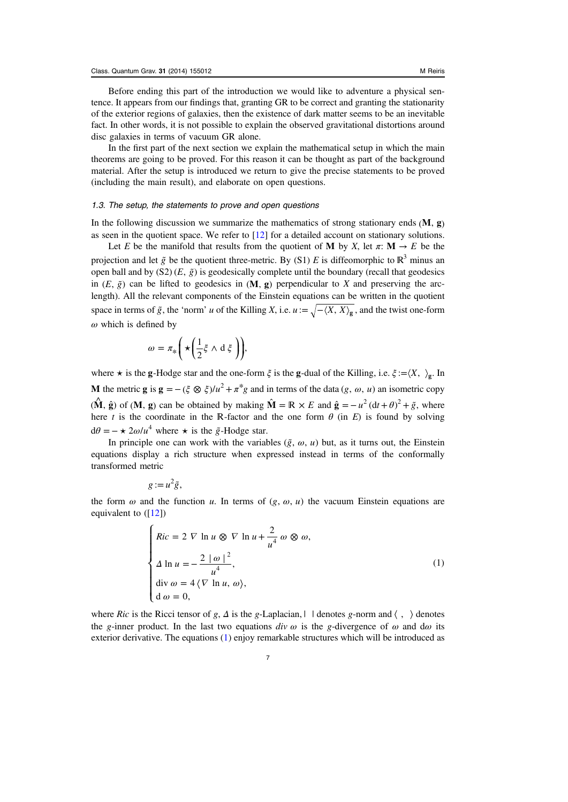<span id="page-7-0"></span>Before ending this part of the introduction we would like to adventure a physical sentence. It appears from our findings that, granting GR to be correct and granting the stationarity of the exterior regions of galaxies, then the existence of dark matter seems to be an inevitable fact. In other words, it is not possible to explain the observed gravitational distortions around disc galaxies in terms of vacuum GR alone.

In the first part of the next section we explain the mathematical setup in which the main theorems are going to be proved. For this reason it can be thought as part of the background material. After the setup is introduced we return to give the precise statements to be proved (including the main result), and elaborate on open questions.

#### 1.3. The setup, the statements to prove and open questions

In the following discussion we summarize the mathematics of strong stationary ends  $(M, g)$ as seen in the quotient space. We refer to [[12\]](#page-33-0) for a detailed account on stationary solutions.

Let E be the manifold that results from the quotient of **M** by X, let  $\pi$ : **M**  $\rightarrow$  E be the projection and let  $\tilde{g}$  be the quotient three-metric. By (S1) E is diffeomorphic to  $\mathbb{R}^3$  minus an open ball and by  $(S2)$  (*E*,  $\tilde{g}$ ) is geodesically complete until the boundary (recall that geodesics in  $(E, \tilde{g})$  can be lifted to geodesics in  $(M, g)$  perpendicular to X and preserving the arclength). All the relevant components of the Einstein equations can be written in the quotient space in terms of  $\tilde{g}$ , the 'norm' u of the Killing X, i.e.  $u := \sqrt{-\langle X, X \rangle_g}$ , and the twist one-form  $\omega$  which is defined by

$$
\omega = \pi_* \left( \star \left( \frac{1}{2} \xi \wedge d \xi \right) \right),
$$

where  $\star$  is the **g**-Hodge star and the one-form  $\xi$  is the **g**-dual of the Killing, i.e.  $\xi := \langle X, \rangle_{\sigma}$ . In **M** the metric **g** is  $\mathbf{g} = -(\xi \otimes \xi)/u^2 + \pi^*g$  and in terms of the data  $(g, \omega, u)$  an isometric copy  $(\hat{\mathbf{M}}, \hat{\mathbf{g}})$  of (**M**, **g**) can be obtained by making  $\hat{\mathbf{M}} = \mathbb{R} \times E$  and  $\hat{\mathbf{g}} = -u^2 (dt + \theta)^2 + \tilde{g}$ , where here t is the coordinate in the R-factor and the one form  $\theta$  (in E) is found by solving  $d\theta = -\star 2\omega/u^4$  where  $\star$  is the  $\tilde{g}$ -Hodge star.

In principle one can work with the variables  $(\tilde{g}, \omega, u)$  but, as it turns out, the Einstein equations display a rich structure when expressed instead in terms of the conformally transformed metric

$$
g:=u^2\tilde{g},
$$

the form  $\omega$  and the function u. In terms of  $(g, \omega, u)$  the vacuum Einstein equations are equivalent to  $([12])$  $([12])$  $([12])$ 

$$
\begin{cases}\nRic = 2 \nabla \ln u \otimes \nabla \ln u + \frac{2}{u^4} \omega \otimes \omega, \\
\Delta \ln u = -\frac{2 |\omega|^2}{u^4}, \\
\text{div } \omega = 4 \langle \nabla \ln u, \omega \rangle, \\
d \omega = 0,\n\end{cases}
$$
\n(1)

where Ric is the Ricci tensor of g,  $\Delta$  is the g-Laplacian, | | denotes g-norm and  $\langle , \rangle$  denotes the g-inner product. In the last two equations  $div \omega$  is the g-divergence of  $\omega$  and  $d\omega$  its exterior derivative. The equations (1) enjoy remarkable structures which will be introduced as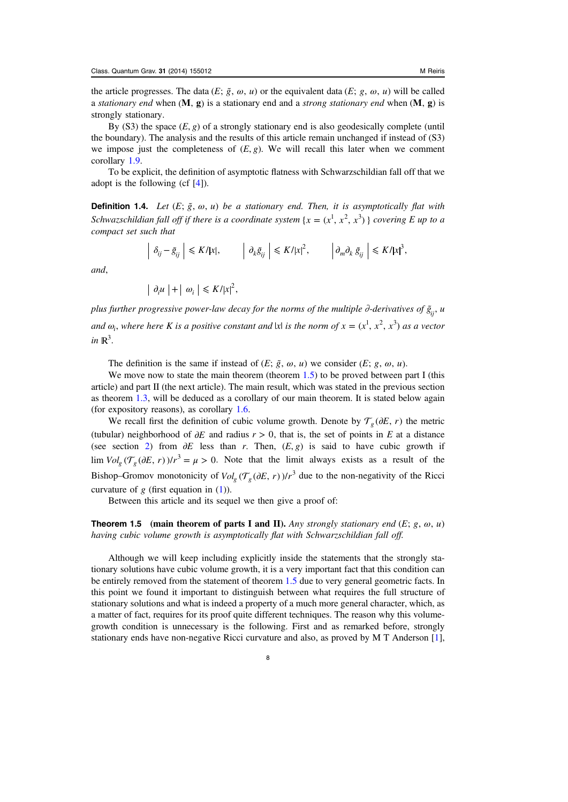<span id="page-8-0"></span>the article progresses. The data  $(E; \tilde{g}, \omega, u)$  or the equivalent data  $(E; g, \omega, u)$  will be called a *stationary end* when (**M**, **g**) is a stationary end and a *strong stationary end* when (**M**, **g**) is strongly stationary.

By (S3) the space  $(E, g)$  of a strongly stationary end is also geodesically complete (until the boundary). The analysis and the results of this article remain unchanged if instead of (S3) we impose just the completeness of  $(E, g)$ . We will recall this later when we comment corollary [1.9.](#page-9-0)

To be explicit, the definition of asymptotic flatness with Schwarzschildian fall off that we adopt is the following (cf [\[4](#page-33-0)]).

**Definition 1.4.** Let (*E*;  $\tilde{g}$ , ω, *u*) be a stationary end. Then, it is asymptotically flat with Schwazschildian fall off if there is a coordinate system  $\{x = (x^1, x^2, x^3)\}\$ covering E up to a compact set such that

$$
\left| \delta_{ij} - \tilde{g}_{ij} \right| \leq K/|x|, \qquad \left| \partial_k \tilde{g}_{ij} \right| \leq K/|x|^2, \qquad \left| \partial_m \partial_k \tilde{g}_{ij} \right| \leq K/|x|^3,
$$

and,

$$
\partial_i u \mid + \mid \omega_i \mid \leq K / |x|^2,
$$

plus further progressive power-law decay for the norms of the multiple ∂-derivatives of  $\tilde{g}_{ij}$ , u and  $\omega_i$ , where here K is a positive constant and |x| is the norm of  $x = (x^1, x^2, x^3)$  as a vector in  $\mathbb{R}^3$ .

The definition is the same if instead of  $(E; \tilde{g}, \omega, u)$  we consider  $(E; g, \omega, u)$ .

We move now to state the main theorem (theorem  $1.5$ ) to be proved between part I (this article) and part II (the next article). The main result, which was stated in the previous section as theorem [1.3,](#page-6-0) will be deduced as a corollary of our main theorem. It is stated below again (for expository reasons), as corollary [1.6](#page-9-0).

We recall first the definition of cubic volume growth. Denote by  $\mathcal{T}_g(\partial E, r)$  the metric (tubular) neighborhood of  $\partial E$  and radius  $r > 0$ , that is, the set of points in E at a distance (see section [2\)](#page-10-0) from  $\partial E$  less than r. Then,  $(E, g)$  is said to have cubic growth if  $\lim Vol_g (\mathcal{T}_g(\partial E, r))/r^3 = \mu > 0$ . Note that the limit always exists as a result of the Bishop–Gromov monotonicity of  $Vol_g(\mathcal{T}_g(\partial E, r))/r^3$  due to the non-negativity of the Ricci curvature of  $g$  (first equation in  $(1)$  $(1)$ ).

Between this article and its sequel we then give a proof of:

**Theorem 1.5** (main theorem of parts I and II). Any strongly stationary end  $(E; g, \omega, u)$ having cubic volume growth is asymptotically flat with Schwarzschildian fall off.

Although we will keep including explicitly inside the statements that the strongly stationary solutions have cubic volume growth, it is a very important fact that this condition can be entirely removed from the statement of theorem 1.5 due to very general geometric facts. In this point we found it important to distinguish between what requires the full structure of stationary solutions and what is indeed a property of a much more general character, which, as a matter of fact, requires for its proof quite different techniques. The reason why this volumegrowth condition is unnecessary is the following. First and as remarked before, strongly stationary ends have non-negative Ricci curvature and also, as proved by M T Anderson [[1\]](#page-33-0),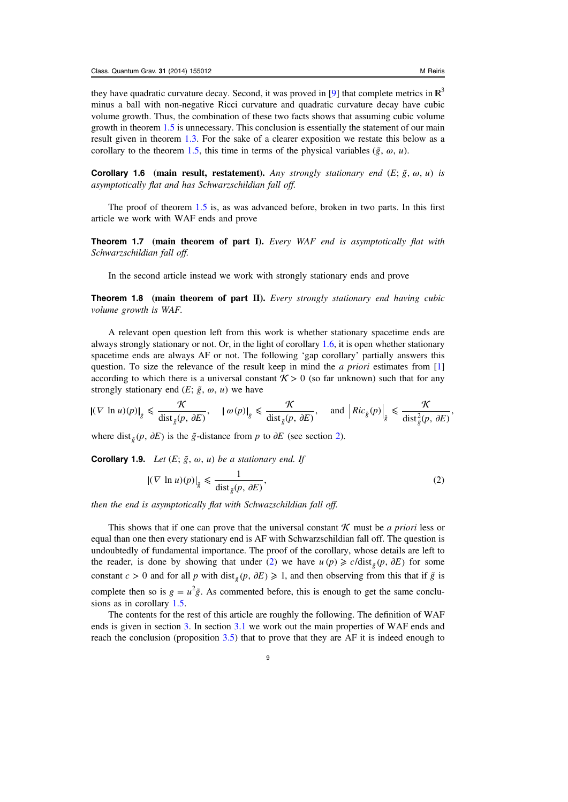<span id="page-9-0"></span>they have quadratic curvature decay. Second, it was proved in [[9\]](#page-33-0) that complete metrics in  $\mathbb{R}^3$ minus a ball with non-negative Ricci curvature and quadratic curvature decay have cubic volume growth. Thus, the combination of these two facts shows that assuming cubic volume growth in theorem [1.5](#page-8-0) is unnecessary. This conclusion is essentially the statement of our main result given in theorem [1.3](#page-6-0). For the sake of a clearer exposition we restate this below as a corollary to the theorem [1.5,](#page-8-0) this time in terms of the physical variables  $(\tilde{g}, \omega, u)$ .

**Corollary 1.6 (main result, restatement).** Any strongly stationary end (*E*;  $\tilde{g}$ , ω, *u*) is asymptotically flat and has Schwarzschildian fall off.

The proof of theorem [1.5](#page-8-0) is, as was advanced before, broken in two parts. In this first article we work with WAF ends and prove

**Theorem 1.7** (main theorem of part I). Every WAF end is asymptotically flat with Schwarzschildian fall off.

In the second article instead we work with strongly stationary ends and prove

**Theorem 1.8 (main theorem of part II).** Every strongly stationary end having cubic volume growth is WAF.

A relevant open question left from this work is whether stationary spacetime ends are always strongly stationary or not. Or, in the light of corollary 1.6, it is open whether stationary spacetime ends are always AF or not. The following 'gap corollary' partially answers this question. To size the relevance of the result keep in mind the *a priori* estimates from  $[1]$  $[1]$ according to which there is a universal constant  $K > 0$  (so far unknown) such that for any strongly stationary end  $(E; \tilde{g}, \omega, u)$  we have

$$
|(\nabla \ln u)(p)|_{\tilde{g}} \leq \frac{\mathcal{K}}{\text{dist}_{\tilde{g}}(p, \partial E)}, \quad |\omega(p)|_{\tilde{g}} \leq \frac{\mathcal{K}}{\text{dist}_{\tilde{g}}(p, \partial E)}, \quad \text{and } \left| Ric_{\tilde{g}}(p)\right|_{\tilde{g}} \leq \frac{\mathcal{K}}{\text{dist}_{\tilde{g}}^2(p, \partial E)},
$$

where dist<sub> $\tilde{\sigma}$ </sub> (*p*,  $\partial E$ ) is the  $\tilde{g}$ -distance from *p* to  $\partial E$  (see section [2\)](#page-10-0).

**Corollary 1.9.** Let  $(E; \tilde{g}, \omega, u)$  be a stationary end. If

$$
|(\nabla \ln u)(p)|_{\tilde{g}} \leq \frac{1}{\text{dist}_{\tilde{g}}(p, \partial E)},
$$
\n(2)

then the end is asymptotically flat with Schwazschildian fall off.

This shows that if one can prove that the universal constant  $\mathcal K$  must be a priori less or equal than one then every stationary end is AF with Schwarzschildian fall off. The question is undoubtedly of fundamental importance. The proof of the corollary, whose details are left to the reader, is done by showing that under (2) we have  $u(p) \geq c/d \text{dist}_{\bar{\sigma}}(p, \partial E)$  for some constant *c* > 0 and for all *p* with dist<sub> $\bar{g}(p, \partial E) \ge 1$ , and then observing from this that if  $\tilde{g}$  is</sub> complete then so is  $g = u^2 \tilde{g}$ . As commented before, this is enough to get the same conclusions as in corollary [1.5](#page-8-0).

The contents for the rest of this article are roughly the following. The definition of WAF ends is given in section [3.](#page-13-0) In section [3.1](#page-14-0) we work out the main properties of WAF ends and reach the conclusion (proposition [3.5](#page-20-0)) that to prove that they are AF it is indeed enough to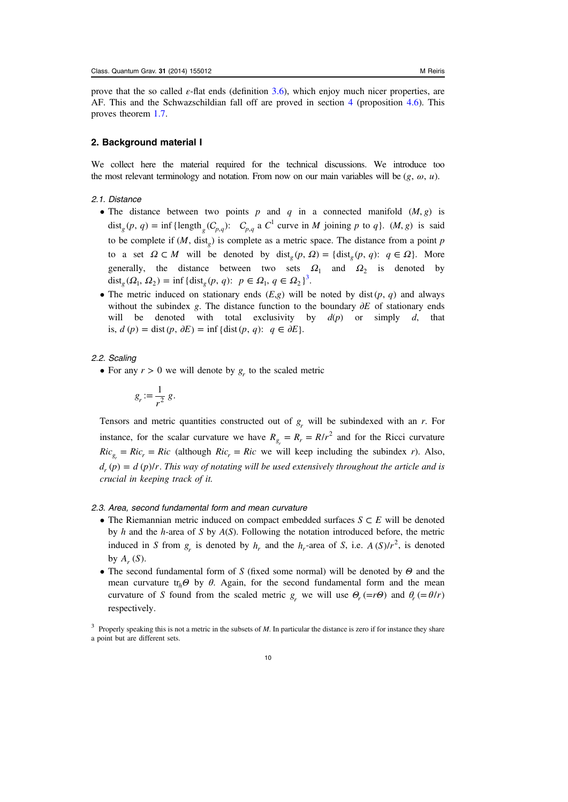<span id="page-10-0"></span>prove that the so called  $\varepsilon$ -flat ends (definition [3.6\)](#page-23-0), which enjoy much nicer properties, are AF. This and the Schwazschildian fall off are proved in section [4](#page-23-0) (proposition [4.6\)](#page-31-0). This proves theorem [1.7](#page-9-0).

## 2. Background material I

We collect here the material required for the technical discussions. We introduce too the most relevant terminology and notation. From now on our main variables will be  $(g, \omega, u)$ .

- 2.1. Distance
	- The distance between two points  $p$  and  $q$  in a connected manifold  $(M, g)$  is dist<sub>g</sub>  $(p, q) = \inf \{ \text{length}_g (C_{p,q}) : C_{p,q} \text{ a } C^1 \text{ curve in } M \text{ joining } p \text{ to } q \}. (M, g) \text{ is said}$ to be complete if  $(M, dist<sub>g</sub>)$  is complete as a metric space. The distance from a point p to a set  $\Omega \subset M$  will be denoted by dist<sub>e</sub>  $(p, \Omega) = \{ \text{dist}_g(p, q): q \in \Omega \}$ . More generally, the distance between two sets  $\Omega_1$  and  $\Omega_2$  is denoted by dist<sub>g</sub>  $(\Omega_1, \Omega_2) = \inf \{ \text{dist}_g(p, q): p \in \Omega_1, q \in \Omega_2 \}^3$ .
	- The metric induced on stationary ends  $(E, g)$  will be noted by dist  $(p, q)$  and always without the subindex g. The distance function to the boundary ∂*E* of stationary ends will be denoted with total exclusivity by  $d(p)$  or simply d, that is,  $d(p) = \text{dist}(p, \partial E) = \inf \{ \text{dist}(p, q): q \in \partial E \}.$

## 2.2. Scaling

• For any  $r > 0$  we will denote by  $g_r$  to the scaled metric

$$
g_r := \frac{1}{r^2} g.
$$

Tensors and metric quantities constructed out of  $g_r$  will be subindexed with an r. For instance, for the scalar curvature we have  $R_{g_r} = R_r = R/r^2$  and for the Ricci curvature  $Ric_{g_r} = Ric_r = Ric$  (although  $Ric_r = Ric$  we will keep including the subindex r). Also,  $d_r(p) = d(p)/r$ . This way of notating will be used extensively throughout the article and is crucial in keeping track of it.

#### 2.3. Area, second fundamental form and mean curvature

- The Riemannian metric induced on compact embedded surfaces *S* ⊂ *E* will be denoted by  $h$  and the  $h$ -area of  $S$  by  $A(S)$ . Following the notation introduced before, the metric induced in S from  $g_r$  is denoted by  $h_r$  and the  $h_r$ -area of S, i.e.  $A(S)/r^2$ , is denoted by  $A_r(S)$ .
- The second fundamental form of S (fixed some normal) will be denoted by *Θ* and the mean curvature tr<sub>h</sub> $\theta$  by  $\theta$ . Again, for the second fundamental form and the mean curvature of S found from the scaled metric  $g_r$  we will use  $\Theta_r (=r\Theta)$  and  $\theta_r (= \theta/r)$ respectively.

 $3$  Properly speaking this is not a metric in the subsets of M. In particular the distance is zero if for instance they share a point but are different sets.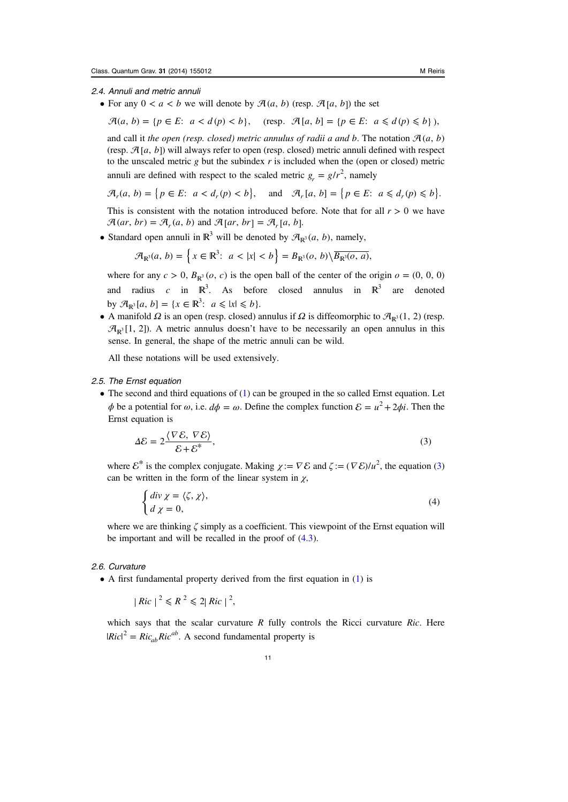<span id="page-11-0"></span>2.4. Annuli and metric annuli

• For any  $0 < a < b$  we will denote by  $\mathcal{A}(a, b)$  (resp.  $\mathcal{A}[a, b]$ ) the set

$$
\mathcal{A}(a, b) = \{ p \in E: a < d(p) < b \}, \quad \text{(resp. } \mathcal{A}[a, b] = \{ p \in E: a \leq d(p) \leq b \},
$$

and call it the open (resp. closed) metric annulus of radii a and b. The notation  $\mathcal{A}(a, b)$ (resp.  $\mathcal{A}[a, b]$ ) will always refer to open (resp. closed) metric annuli defined with respect to the unscaled metric  $g$  but the subindex  $r$  is included when the (open or closed) metric annuli are defined with respect to the scaled metric  $g_r = g/r^2$ , namely

 $\mathcal{A}_r(a, b) = \{p \in E: a < d_r(p) < b\}, \text{ and } \mathcal{A}_r[a, b] = \{p \in E: a \leq d_r(p) \leq b\}.$ 

This is consistent with the notation introduced before. Note that for all  $r > 0$  we have  $\mathcal{A}(ar, br) = \mathcal{A}_r(a, b)$  and  $\mathcal{A}[ar, br] = \mathcal{A}_r[a, b].$ 

• Standard open annuli in  $\mathbb{R}^3$  will be denoted by  $\mathcal{A}_{\mathbb{R}^3}(a, b)$ , namely,

$$
\mathcal{A}_{\mathbb{R}^3}(a, b) = \left\{ x \in \mathbb{R}^3 : \ a < |x| < b \right\} = B_{\mathbb{R}^3}(o, b) \sqrt{B_{\mathbb{R}^3}(o, a)},
$$

where for any  $c > 0$ ,  $B_{\mathbb{R}^3}$  (*o*, *c*) is the open ball of the center of the origin  $o = (0, 0, 0)$ and radius c in  $\mathbb{R}^3$ . As before closed annulus in  $\mathbb{R}^3$  are denoted by  $\mathcal{A}_{\mathbb{R}^3}[a, b] = \{x \in \mathbb{R}^3 : a \leq |x| \leq b\}.$ 

• A manifold  $\Omega$  is an open (resp. closed) annulus if  $\Omega$  is diffeomorphic to  $\mathcal{A}_{\mathbb{R}^3}(1, 2)$  (resp.  $\mathcal{A}_{\mathbb{R}^3}[1, 2]$ ). A metric annulus doesn't have to be necessarily an open annulus in this sense. In general, the shape of the metric annuli can be wild.

All these notations will be used extensively.

## 2.5. The Ernst equation

• The second and third equations of [\(1](#page-7-0)) can be grouped in the so called Ernst equation. Let  $\phi$  be a potential for  $\omega$ , i.e.  $d\phi = \omega$ . Define the complex function  $\mathcal{E} = u^2 + 2\phi i$ . Then the Ernst equation is

$$
\Delta \mathcal{E} = 2 \frac{\langle \nabla \mathcal{E}, \nabla \mathcal{E} \rangle}{\mathcal{E} + \mathcal{E}^*},\tag{3}
$$

where  $\mathcal{E}^*$  is the complex conjugate. Making  $\chi := \nabla \mathcal{E}$  and  $\zeta := (\nabla \mathcal{E})/u^2$ , the equation (3) can be written in the form of the linear system in  $\chi$ ,

$$
\begin{cases} \operatorname{div} \chi = \langle \zeta, \chi \rangle, \\ d \chi = 0, \end{cases} \tag{4}
$$

where we are thinking  $\zeta$  simply as a coefficient. This viewpoint of the Ernst equation will be important and will be recalled in the proof of ([4.3](#page-25-0)).

# 2.6. Curvature

• A first fundamental property derived from the first equation in ([1\)](#page-7-0) is

 $|Ric|^{2} \le R^{2} \le 2|Ric|^{2}$ ,

which says that the scalar curvature R fully controls the Ricci curvature  $Ric$ . Here  $|Ric|^2 = Ric_{ab} Ric^{ab}$ . A second fundamental property is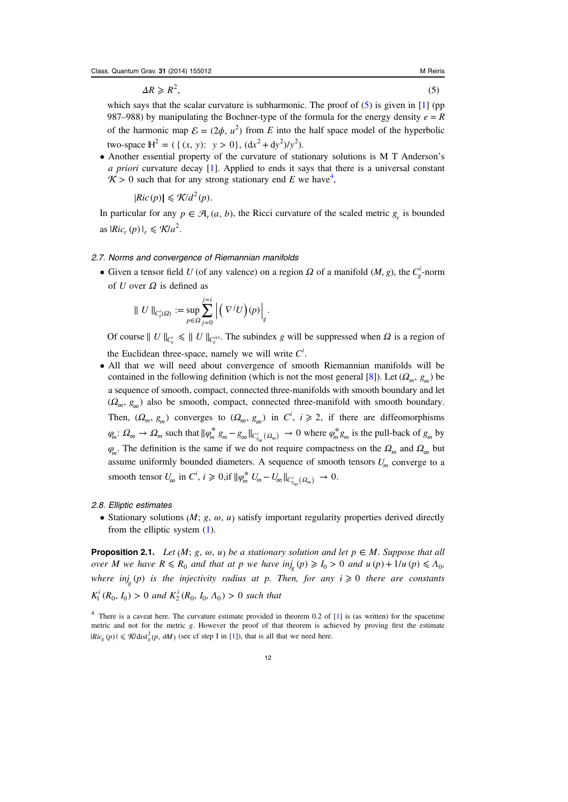$\Delta R \ge R^2$ , (5)

which says that the scalar curvature is subharmonic. The proof of  $(5)$  $(5)$  is given in [[1\]](#page-33-0) (pp 987–988) by manipulating the Bochner-type of the formula for the energy density  $e = R$ of the harmonic map  $\mathcal{E} = (2\phi, u^2)$  from E into the half space model of the hyperbolic two-space  $\mathbb{H}^2 = (\{ (x, y): y > 0 \}, (dx^2 + dy^2)/y^2)$ .

• Another essential property of the curvature of stationary solutions is M T Anderson's a priori curvature decay [[1\]](#page-33-0). Applied to ends it says that there is a universal constant  $\mathcal{K} > 0$  such that for any strong stationary end E we have<sup>4</sup>,

$$
Ric(p) \le \mathcal{K}/d^2(p).
$$

In particular for any  $p \in \mathcal{A}_r(a, b)$ , the Ricci curvature of the scaled metric  $g_r$  is bounded as  $|Ric_r(p)|_r \le \mathcal{K}/a^2$ .

## 2.7. Norms and convergence of Riemannian manifolds

• Given a tensor field U (of any valence) on a region  $\Omega$  of a manifold  $(M, g)$ , the  $C_g^i$ -norm of U over *Ω* is defined as

$$
\| U \|_{C_g^i(\Omega)} := \sup_{p \in \Omega} \sum_{j=0}^{j=i} \left| \left( \nabla^j U \right) (p) \right|_g.
$$

Of course  $||U||_{C_g^i} \le ||U||_{C_g^{i+1}}$ . The subindex g will be suppressed when  $\Omega$  is a region of the Euclidean three-space, namely we will write  $C^i$ .

• All that we will need about convergence of smooth Riemannian manifolds will be contained in the following definition (which is not the most general [[8\]](#page-33-0)). Let  $(Q_m, g_m)$  be a sequence of smooth, compact, connected three-manifolds with smooth boundary and let  $(Q<sub>α</sub>, g<sub>α</sub>)$  also be smooth, compact, connected three-manifold with smooth boundary. Then,  $(\Omega_m, g_m)$  converges to  $(\Omega_\infty, g_\infty)$  in  $C^i$ ,  $i \geq 2$ , if there are diffeomorphisms  $\varphi_m : \Omega_\infty \to \Omega_m$  such that  $\|\varphi_m^* g_m - g_\infty\|_{C^i}$  ( $\Omega_\infty$ )  $\to 0$  where  $\varphi_m^* g_m$  is the pull-back of  $g_m$  by *φ*<sup>*m*</sup>. The definition is the same if we do not require compactness on the  $Ω$ <sup>*m*</sup> and  $Ω$ <sup>∞</sup> but assume uniformly bounded diameters. A sequence of smooth tensors  $U_m$  converge to a smooth tensor  $U_{\infty}$  in  $C^i$ ,  $i \ge 0$ ,if  $||\varphi_m^* U_m - U_{\infty}||_{C^i_{g_{\infty}}(\Omega_{\infty})} \to 0$ .

## 2.8. Elliptic estimates

• Stationary solutions  $(M; g, \omega, u)$  satisfy important regularity properties derived directly from the elliptic system ([1\)](#page-7-0).

**Proposition 2.1.** Let (M; g,  $\omega$ , u) be a stationary solution and let  $p \in M$ . Suppose that all over *M* we have  $R \le R_0$  and that at p we have  $\text{inj}_g(p) \ge I_0 > 0$  and  $u(p) + 1/u(p) \le \Lambda_0$ , where inj<sub>a</sub>(p) is the injectivity radius at p. Then, for any  $i \ge 0$  there are constants  $K_1^i(R_0, I_0) > 0$  and  $K_2^i(R_0, I_0, \Lambda_0) > 0$  such that

 $4$  There is a caveat here. The curvature estimate provided in theorem 0.2 of [\[1](#page-33-0)] is (as written) for the spacetime metric and not for the metric g. However the proof of that theorem is achieved by proving first the estimate  $|Ric_{g}(p)| \leq \mathcal{K}/\text{dist}_{g}^{2}(p, \partial M)$  (see cf step I in [\[1](#page-33-0)]), that is all that we need here.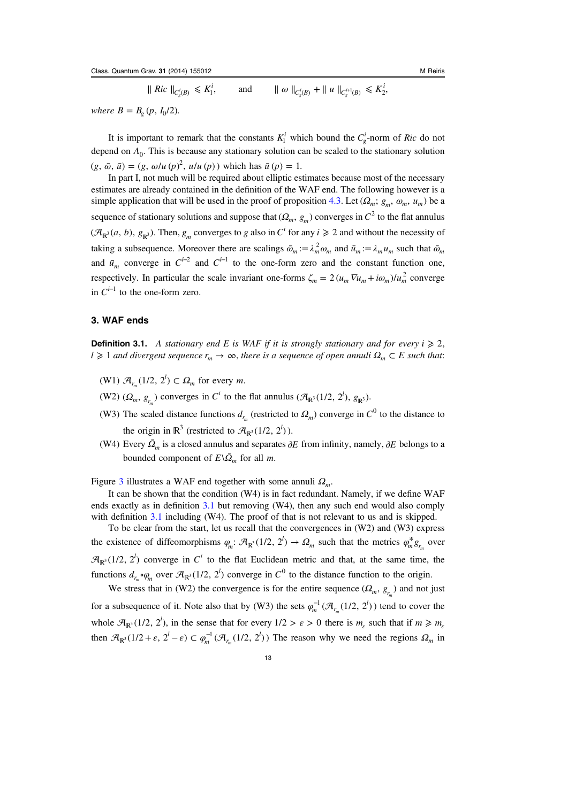$\| Ric \|_{C_g^i(B)} \le K_1^i$ , and  $\| \omega \|_{C_g^i(B)} + \| u \|_{C_g^{i+1}(B)} \le K_2^i$ ,  $\mu_{(R)} \leqslant K_1^i$ 

<span id="page-13-0"></span>where  $B = B_{\rho}(p, I_0/2)$ .

It is important to remark that the constants  $K_1^i$  which bound the  $C_g^i$ -norm of Ric do not depend on *Λ*0. This is because any stationary solution can be scaled to the stationary solution  $(g, \bar{\omega}, \bar{u}) = (g, \omega/u (p)^2, u/u (p))$  which has  $\bar{u}(p) = 1$ .

In part I, not much will be required about elliptic estimates because most of the necessary estimates are already contained in the definition of the WAF end. The following however is a simple application that will be used in the proof of proposition [4.3](#page-25-0). Let  $(Q_m; g_m, \omega_m, u_m)$  be a sequence of stationary solutions and suppose that  $(\Omega_m, g_m)$  converges in  $C^2$  to the flat annulus  $({\mathcal{A}}_{\mathbb{R}^3}(a, b), g_{\mathbb{R}^3})$ . Then,  $g_m$  converges to g also in  $C^i$  for any  $i \geq 2$  and without the necessity of taking a subsequence. Moreover there are scalings  $\bar{\omega}_m := \lambda_m^2 \omega_m$  and  $\bar{u}_m := \lambda_m u_m$  such that  $\bar{\omega}_m$ and  $\bar{u}_m$  converge in  $C^{i-2}$  and  $C^{i-1}$  to the one-form zero and the constant function one, respectively. In particular the scale invariant one-forms  $\zeta_m = 2 (u_m \nabla u_m + i \omega_m) / u_m^2$  converge in  $C^{i-1}$  to the one-form zero.

## 3. WAF ends

**Definition 3.1.** A stationary end E is WAF if it is strongly stationary and for every  $i \geq 2$ , *l* ≥ 1 and divergent sequence  $r_m$  → ∞, there is a sequence of open annuli  $Ω_m$  ⊂ *E* such that:

- $(W1)$   $\mathcal{A}_{r_m}(1/2, 2^l) \subset \mathcal{Q}_m$  for every *m*.
- (W2)  $(\Omega_m, g_{r_m})$  converges in  $C^i$  to the flat annulus  $(\mathcal{A}_{\mathbb{R}^3}(1/2, 2^l), g_{\mathbb{R}^3})$ .
- (W3) The scaled distance functions  $d_{r_m}$  (restricted to  $\Omega_m$ ) converge in  $C^0$  to the distance to the origin in  $\mathbb{R}^3$  (restricted to  $\mathcal{A}_{\mathbb{R}^3}(1/2, 2^l)$ ).
- (W4) Every  $\overline{\Omega}_m$  is a closed annulus and separates  $\partial E$  from infinity, namely,  $\partial E$  belongs to a bounded component of  $E \setminus \overline{Q}_m$  for all *m*.

Figure [3](#page-14-0) illustrates a WAF end together with some annuli *Ωm*.

It can be shown that the condition (W4) is in fact redundant. Namely, if we define WAF ends exactly as in definition 3.1 but removing (W4), then any such end would also comply with definition 3.1 including (W4). The proof of that is not relevant to us and is skipped.

To be clear from the start, let us recall that the convergences in (W2) and (W3) express the existence of diffeomorphisms  $\varphi_m: \mathcal{A}_{\mathbb{R}^3}(1/2, 2^l) \to \Omega_m$  such that the metrics  $\varphi_m^* g_{r_m}$  over  $\mathcal{A}_{\mathbb{R}^3}(1/2, 2^l)$  converge in  $C^i$  to the flat Euclidean metric and that, at the same time, the functions  $d_{r_m} \circ \varphi_m$  over  $\mathcal{A}_{\mathbb{R}^3}(1/2, 2^l)$  converge in  $C^0$  to the distance function to the origin.

We stress that in (W2) the convergence is for the entire sequence  $(Q_m, g_{r_m})$  and not just for a subsequence of it. Note also that by (W3) the sets  $\varphi_m^{-1}(\mathcal{A}_{r_m}(1/2, 2^l))$  tend to cover the whole  $\mathcal{A}_{\mathbb{R}^3}(1/2, 2^l)$ , in the sense that for every  $1/2 > \varepsilon > 0$  there is  $m_\varepsilon$  such that if  $m \geq m_\varepsilon$ then  $\mathcal{A}_{\mathbb{R}^3}(1/2 + \varepsilon, 2^l - \varepsilon) \subset \varphi_m^{-1}(\mathcal{A}_{r_m}(1/2, 2^l))$  The reason why we need the regions  $\Omega_m$  in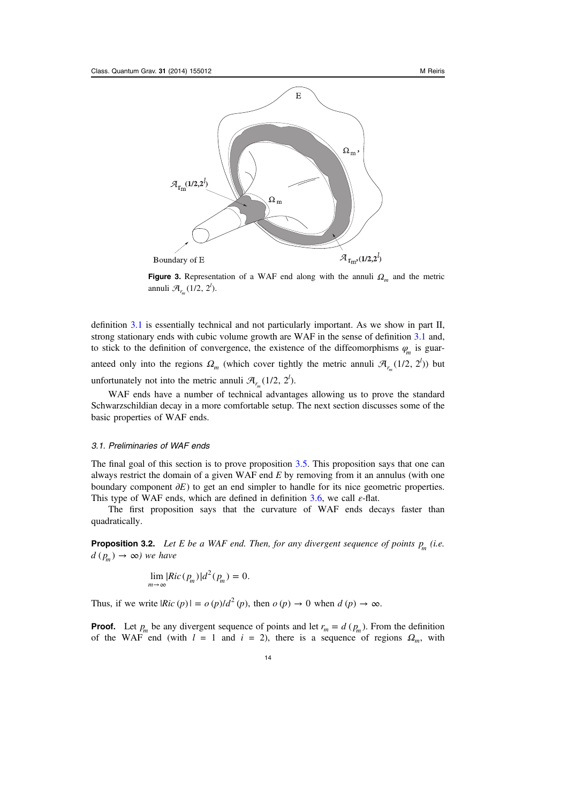<span id="page-14-0"></span>

Figure 3. Representation of a WAF end along with the annuli  $\Omega_m$  and the metric annuli  $\mathcal{A}_{r_m}(1/2, 2^l)$ .

definition [3.1](#page-13-0) is essentially technical and not particularly important. As we show in part II, strong stationary ends with cubic volume growth are WAF in the sense of definition [3.1](#page-13-0) and, to stick to the definition of convergence, the existence of the diffeomorphisms  $\varphi_m$  is guaranteed only into the regions  $\Omega_m$  (which cover tightly the metric annuli  $\mathcal{A}_{r_m}(1/2, 2^l)$ ) but unfortunately not into the metric annuli  $\mathcal{A}_{r_m}(1/2, 2^l)$ .

WAF ends have a number of technical advantages allowing us to prove the standard Schwarzschildian decay in a more comfortable setup. The next section discusses some of the basic properties of WAF ends.

#### 3.1. Preliminaries of WAF ends

The final goal of this section is to prove proposition [3.5](#page-20-0). This proposition says that one can always restrict the domain of a given WAF end  $E$  by removing from it an annulus (with one boundary component ∂*E*) to get an end simpler to handle for its nice geometric properties. This type of WAF ends, which are defined in definition [3.6,](#page-23-0) we call  $\varepsilon$ -flat.

The first proposition says that the curvature of WAF ends decays faster than quadratically.

**Proposition 3.2.** Let E be a WAF end. Then, for any divergent sequence of points  $p_m$  (i.e.  $d(p_m) \to \infty$ ) we have

$$
\lim_{m \to \infty} |Ric(p_m)|d^2(p_m) = 0.
$$

Thus, if we write  $|Ric(p)| = o(p)/d^2(p)$ , then  $o(p) \to 0$  when  $d(p) \to \infty$ .

**Proof.** Let  $p_m$  be any divergent sequence of points and let  $r_m = d(p_m)$ . From the definition of the WAF end (with  $l = 1$  and  $i = 2$ ), there is a sequence of regions  $\Omega_m$ , with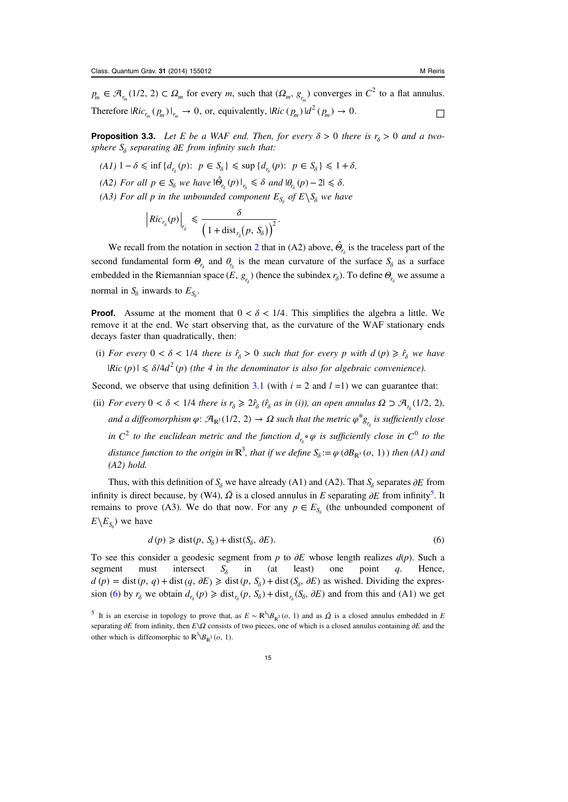<span id="page-15-0"></span> $p_m \in \mathcal{A}_{r_m}(1/2, 2) \subset \Omega_m$  for every *m*, such that  $(\Omega_m, g_{r_m})$  converges in  $C^2$  to a flat annulus. Therefore  $|Ric_{r_m}(p_m)|_{r_m} \to 0$ , or, equivalently,  $|Ric(p_m)|d^2(p_m) \to 0$ .

**Proposition 3.3.** Let E be a WAF end. Then, for every  $\delta > 0$  there is  $r_{\delta} > 0$  and a twosphere *<sup>δ</sup>S* separating ∂*E* from infinity such that:

- $(A1)$  1 −  $\delta$  ≤ inf { $d_{r_{\delta}}(p)$ :  $p \in S_{\delta}$ } ≤ sup { $d_{r_{\delta}}(p)$ :  $p \in S_{\delta}$ } ≤ 1 +  $\delta$ .
- (A2) For all  $p \in S_\delta$  we have  $|\hat{\Theta}_{r_\delta}(p)|_{r_\delta} \leq \delta$  and  $|\theta_{r_\delta}(p)-2| \leq \delta$ .
- (A3) For all p in the unbounded component  $E_{S_{\delta}}$  of  $E \setminus S_{\delta}$  we have

$$
\left|Ric_{r_\delta}(p)\right|_{r_\delta} \leq \frac{\delta}{\left(1+\text{dist}_{r_\delta}\left(p,\,S_\delta\right)\right)^2}.
$$

We recall from the notation in section [2](#page-10-0) that in (A2) above,  $\hat{\theta}_{r_{\delta}}$  is the traceless part of the second fundamental form  $\Theta_{r_s}$  and  $\theta_{r_s}$  is the mean curvature of the surface  $S_\delta$  as a surface embedded in the Riemannian space  $(E, g_{r_{\delta}})$  (hence the subindex  $r_{\delta}$ ). To define  $\Theta_{r_{\delta}}$  we assume a normal in  $S_\delta$  inwards to  $E_S$ .

**Proof.** Assume at the moment that  $0 < \delta < 1/4$ . This simplifies the algebra a little. We remove it at the end. We start observing that, as the curvature of the WAF stationary ends decays faster than quadratically, then:

(i) For every  $0 < \delta < 1/4$  there is  $\hat{r}_{\delta} > 0$  such that for every p with  $d(p) \geq \hat{r}_{\delta}$  we have  $|Ric (p)| \leq \delta/4d^2(p)$  (the 4 in the denominator is also for algebraic convenience).

Second, we observe that using definition [3.1](#page-13-0) (with  $i = 2$  and  $l = 1$ ) we can guarantee that:

(ii) For every  $0 < \delta < 1/4$  there is  $r_{\delta} \ge 2\hat{r}_{\delta}$  ( $\hat{r}_{\delta}$  as in (i)), an open annulus  $\Omega \supset \mathcal{A}_{r_{\delta}}(1/2, 2)$ , and a diffeomorphism  $\varphi\colon \mathcal{A}_{\mathbb{R}^3}(1/2,2)\to \Omega$  such that the metric  $\varphi^*g_{_{r_\delta}}$  is sufficiently close in  $C^2$  to the euclidean metric and the function  $d_{r} \circ \varphi$  is sufficiently close in  $C^0$  to the distance function to the origin in  $\mathbb{R}^3$ , that if we define  $S_\delta := \varphi(\partial B_{\mathbb{R}^3}(o, 1))$  then (A1) and (A2) hold.

Thus, with this definition of  $S_\delta$  we have already (A1) and (A2). That  $S_\delta$  separates ∂*E* from infinity is direct because, by (W4),  $\overline{Q}$  is a closed annulus in E separating  $\partial E$  from infinity<sup>5</sup>. It remains to prove (A3). We do that now. For any  $p \in E_{S_0}$  (the unbounded component of  $E(E_S)$  we have

$$
d(p) \ge \text{dist}(p, S_{\delta}) + \text{dist}(S_{\delta}, \partial E). \tag{6}
$$

To see this consider a geodesic segment from p to ∂E whose length realizes  $d(p)$ . Such a segment must intersect  $S_\delta$  in (at least) one point  $q$ . Hence,  $d(p) = \text{dist}(p, q) + \text{dist}(q, \partial E) \geq \text{dist}(p, S_{\delta}) + \text{dist}(S_{\delta}, \partial E)$  as wished. Dividing the expression (6) by  $r_{\delta}$  we obtain  $d_{r_{\delta}}(p) \ge \text{dist}_{r_{\delta}}(p, S_{\delta}) + \text{dist}_{r_{\delta}}(S_{\delta}, \partial E)$  and from this and (A1) we get

<sup>&</sup>lt;sup>5</sup> It is an exercise in topology to prove that, as  $E \sim \mathbb{R}^3 \setminus B_{\mathbb{R}^3}(o, 1)$  and as  $\overline{\Omega}$  is a closed annulus embedded in E separating ∂*E* from infinity, then *E*\*Ω* consists of two pieces, one of which is a closed annulus containing ∂*E* and the other which is diffeomorphic to  $\mathbb{R}^3 \setminus B_{\mathbb{R}^3} (o, 1)$ .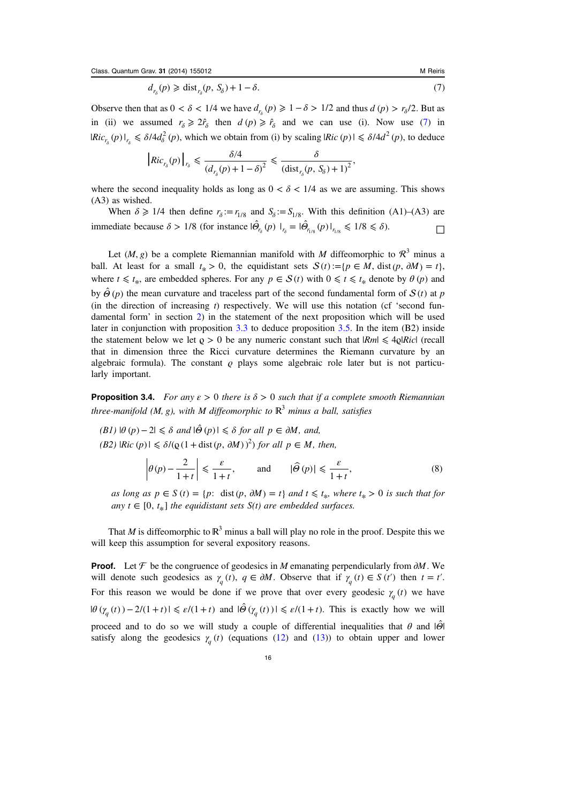$$
d_{r_{\delta}}(p) \ge \text{dist}_{r_{\delta}}(p, S_{\delta}) + 1 - \delta. \tag{7}
$$

<span id="page-16-0"></span>Observe then that as  $0 < \delta < 1/4$  we have  $d_{r_s}(p) \geq 1 - \delta > 1/2$  and thus  $d(p) > r_\delta/2$ . But as in (ii) we assumed  $r_{\delta} \ge 2\hat{r}_{\delta}$  then  $d(p) \ge \hat{r}_{\delta}$  and we can use (i). Now use ([7\)](#page-15-0) in  $|Ric_{r_{\delta}}(p)|_{r_{\delta}} \le \delta/4d_{\delta}^2(p)$ , which we obtain from (i) by scaling  $|Ric(p)| \le \delta/4d^2(p)$ , to deduce

$$
\left|Ric_{r_\delta}(p)\right|_{r_\delta} \leq \frac{\delta/4}{\left(d_{r_\delta}(p) + 1 - \delta\right)^2} \leq \frac{\delta}{\left(\text{dist}_{r_\delta}(p, S_\delta) + 1\right)^2},
$$

where the second inequality holds as long as  $0 < \delta < 1/4$  as we are assuming. This shows (A3) as wished.

When  $\delta \ge 1/4$  then define  $r_{\delta} := r_{1/8}$  and  $S_{\delta} := S_{1/8}$ . With this definition (A1)–(A3) are immediate because  $\delta > 1/8$  (for instance  $|\hat{\Theta}_{r_{\delta}}(p)|_{r_{\delta}} = |\hat{\Theta}_{r_{\delta}(p)}|_{r_{\delta}} \leq 1/8 \leq \delta$ ).

Let  $(M, g)$  be a complete Riemannian manifold with M diffeomorphic to  $\mathcal{R}^3$  minus a ball. At least for a small  $t_* > 0$ , the equidistant sets  $S(t) := \{ p \in M, \text{dist}(p, \partial M) = t \},$ where  $t \leq t_*$ , are embedded spheres. For any  $p \in S(t)$  with  $0 \leq t \leq t_*$  denote by  $\theta(p)$  and by  $\hat{\Theta}$  (*p*) the mean curvature and traceless part of the second fundamental form of  $S(t)$  at *p* (in the direction of increasing  $t$ ) respectively. We will use this notation (cf 'second fundamental form' in section [2](#page-10-0)) in the statement of the next proposition which will be used later in conjunction with proposition [3.3](#page-15-0) to deduce proposition [3.5](#page-20-0). In the item (B2) inside the statement below we let  $\rho > 0$  be any numeric constant such that  $|Rm| \leq 4\rho|Ric|$  (recall that in dimension three the Ricci curvature determines the Riemann curvature by an algebraic formula). The constant  $\rho$  plays some algebraic role later but is not particularly important.

**Proposition 3.4.** For any  $\varepsilon > 0$  there is  $\delta > 0$  such that if a complete smooth Riemannian three-manifold (M, g), with M diffeomorphic to  $\mathbb{R}^3$  minus a ball, satisfies

 $(B1)$   $|\theta(p)-2| \leq \delta$  and  $|\hat{\theta}(p)| \leq \delta$  for all  $p \in \partial M$ , and,  $(B2)$   $|Ric(p)| \le \delta/(Q(1 + dist(p, \partial M))^2)$  for all  $p \in M$ , then,

$$
\left|\theta(p) - \frac{2}{1+t}\right| \leq \frac{\varepsilon}{1+t}, \quad \text{and} \quad |\widehat{\theta}(p)| \leq \frac{\varepsilon}{1+t}, \tag{8}
$$

as long as  $p \in S(t) = \{p: \text{dist}(p, \partial M) = t\}$  and  $t \leq t_*$ , where  $t_* > 0$  is such that for any  $t \in [0, t_*]$  the equidistant sets  $S(t)$  are embedded surfaces.

That M is diffeomorphic to  $\mathbb{R}^3$  minus a ball will play no role in the proof. Despite this we will keep this assumption for several expository reasons.

**Proof.** Let  $\mathcal F$  be the congruence of geodesics in M emanating perpendicularly from ∂*M*. We will denote such geodesics as  $\gamma_q(t)$ ,  $q \in \partial M$ . Observe that if  $\gamma_q(t) \in S(t')$  then  $t = t'$ . For this reason we would be done if we prove that over every geodesic  $\gamma_q(t)$  we have  $|\theta(\gamma_q(t)) - 2/(1+t)| \le \varepsilon/(1+t)$  and  $|\hat{\theta}(\gamma_q(t))| \le \varepsilon/(1+t)$ . This is exactly how we will proceed and to do so we will study a couple of differential inequalities that  $\theta$  and  $|\hat{\theta}|$ satisfy along the geodesics  $\gamma_q(t)$  (equations [\(12](#page-17-0)) and [\(13\)](#page-17-0)) to obtain upper and lower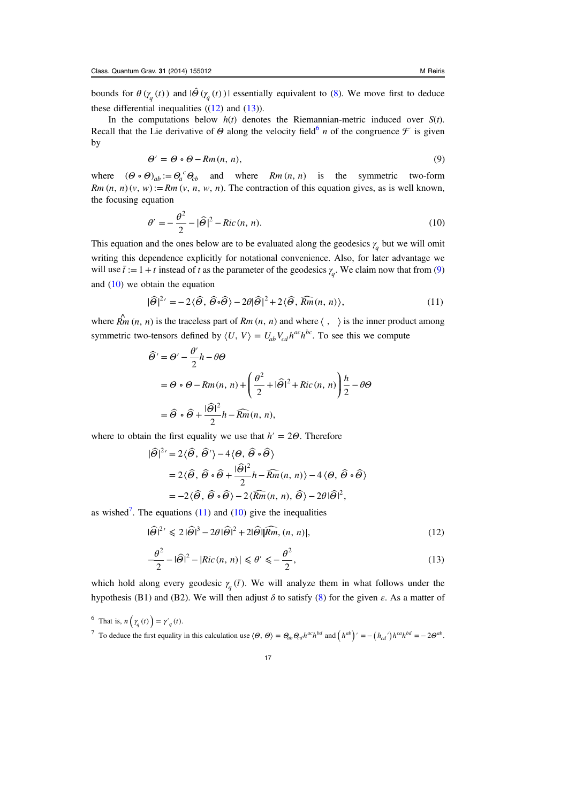<span id="page-17-0"></span>bounds for  $\theta$  ( $\gamma_q(t)$ ) and  $|\hat{\Theta}(\gamma_q(t))|$  essentially equivalent to ([8\)](#page-16-0). We move first to deduce these differential inequalities  $((12)$  and  $(13)$ ).

In the computations below  $h(t)$  denotes the Riemannian-metric induced over  $S(t)$ . Recall that the Lie derivative of  $\Theta$  along the velocity field<sup>6</sup> n of the congruence  $\mathcal F$  is given by

$$
\Theta' = \Theta \circ \Theta - Rm(n, n),\tag{9}
$$

where  $(\Theta \circ \Theta)_{ab} := \Theta_a^c \Theta_{cb}$  and where  $Rm(n, n)$  is the symmetric two-form  $Rm(n, n)(v, w) := Rm(v, n, w, n)$ . The contraction of this equation gives, as is well known, the focusing equation

$$
\theta' = -\frac{\theta^2}{2} - |\widehat{\theta}|^2 - Ric(n, n). \tag{10}
$$

This equation and the ones below are to be evaluated along the geodesics  $\gamma_q$  but we will omit writing this dependence explicitly for notational convenience. Also, for later advantage we will use  $\bar{t} := 1 + t$  instead of t as the parameter of the geodesics  $\gamma_q$ . We claim now that from (9) and  $(10)$  we obtain the equation

$$
|\widehat{\Theta}|^{2'} = -2\langle\widehat{\Theta}, \widehat{\Theta}\circ\widehat{\Theta}\rangle - 2\theta|\widehat{\Theta}|^{2} + 2\langle\widehat{\Theta}, \widehat{Rm}(n, n)\rangle, \tag{11}
$$

where  $\hat{Rm}$  (*n*, *n*) is the traceless part of *Rm* (*n*, *n*) and where  $\langle , \rangle$  is the inner product among symmetric two-tensors defined by  $\langle U, V \rangle = U_{ab} V_{cd} h^{ac} h^{bc}$ . To see this we compute

$$
\hat{\theta}' = \theta' - \frac{\theta'}{2}h - \theta\theta
$$
  
=  $\theta \cdot \theta - Rm(n, n) + \left(\frac{\theta^2}{2} + |\hat{\theta}|^2 + Ric(n, n)\right)\frac{h}{2} - \theta\theta$   
=  $\hat{\theta} \cdot \hat{\theta} + \frac{|\hat{\theta}|^2}{2}h - \widehat{Rm}(n, n),$ 

where to obtain the first equality we use that  $h' = 2\theta$ . Therefore

$$
\begin{aligned} |\widehat{\Theta}|^{2} &= 2\langle \widehat{\Theta}, \widehat{\Theta}' \rangle - 4\langle \Theta, \widehat{\Theta} \cdot \widehat{\Theta} \rangle \\ &= 2\langle \widehat{\Theta}, \widehat{\Theta} \cdot \widehat{\Theta} + \frac{|\widehat{\Theta}|^{2}}{2}h - \widehat{Rm}(n, n) \rangle - 4\langle \Theta, \widehat{\Theta} \cdot \widehat{\Theta} \rangle \\ &= -2\langle \widehat{\Theta}, \widehat{\Theta} \cdot \widehat{\Theta} \rangle - 2\langle \widehat{Rm}(n, n), \widehat{\Theta} \rangle - 2\theta|\widehat{\Theta}|^{2}, \end{aligned}
$$

as wished<sup>7</sup>. The equations  $(11)$  and  $(10)$  give the inequalities

$$
|\widehat{\Theta}|^{2} \le 2 |\widehat{\Theta}|^{3} - 2\theta |\widehat{\Theta}|^{2} + 2|\widehat{\Theta}||\widehat{Rm}, (n, n)|, \tag{12}
$$

$$
-\frac{\theta^2}{2} - |\widehat{\theta}|^2 - |Ric(n, n)| \le \theta' \le -\frac{\theta^2}{2},\tag{13}
$$

which hold along every geodesic  $\gamma_q(\bar{t})$ . We will analyze them in what follows under the hypothesis (B1) and (B2). We will then adjust  $\delta$  to satisfy ([8\)](#page-16-0) for the given  $\varepsilon$ . As a matter of

<sup>6</sup> That is,  $n\left(\gamma_a(t)\right) = \gamma'_a(t)$ .

<sup>7</sup> To deduce the first equality in this calculation use  $\langle \Theta, \Theta \rangle = \Theta_{ab} \Theta_{cd} h^{ac} h^{bd}$  and  $(h^{ab})' = -(h_{cd})' h^{ca} h^{bd} = -2\Theta^{ab}$ .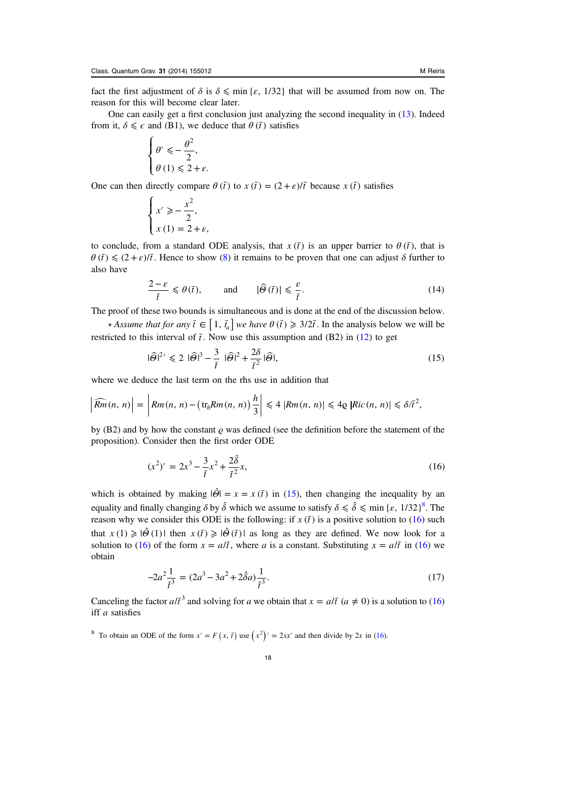<span id="page-18-0"></span>fact the first adjustment of  $\delta$  is  $\delta \leq \min{\{\epsilon, 1/32\}}$  that will be assumed from now on. The reason for this will become clear later.

One can easily get a first conclusion just analyzing the second inequality in ([13\)](#page-17-0). Indeed from it,  $\delta \leq \epsilon$  and (B1), we deduce that  $\theta(\bar{t})$  satisfies

$$
\begin{cases} \theta' \leq -\frac{\theta^2}{2}, \\ \theta(1) \leq 2 + \varepsilon. \end{cases}
$$

One can then directly compare  $\theta(\bar{t})$  to  $x(\bar{t}) = (2 + \varepsilon)/\bar{t}$  because  $x(\bar{t})$  satisfies

$$
\begin{cases} x' \geqslant -\frac{x^2}{2}, \\ x(1) = 2 + \varepsilon, \end{cases}
$$

to conclude, from a standard ODE analysis, that  $x(\bar{t})$  is an upper barrier to  $\theta(\bar{t})$ , that is  $\theta(\bar{t}) \leq (2 + \varepsilon)/\bar{t}$ . Hence to show ([8\)](#page-16-0) it remains to be proven that one can adjust  $\delta$  further to also have

$$
\frac{2-\varepsilon}{\bar{t}} \leq \theta(\bar{t}), \quad \text{and} \quad |\widehat{\theta}(\bar{t})| \leq \frac{\varepsilon}{\bar{t}}.
$$
 (14)

The proof of these two bounds is simultaneous and is done at the end of the discussion below.

• Assume that for any  $\bar{t} \in [1, \bar{t}_a]$  we have  $\theta(\bar{t}) \geq 3/2\bar{t}$ . In the analysis below we will be restricted to this interval of  $\bar{t}$ . Now use this assumption and (B2) in ([12\)](#page-17-0) to get

$$
|\widehat{\Theta}|^{2} \le 2 \ |\widehat{\Theta}|^{3} - \frac{3}{\bar{t}} \ |\widehat{\Theta}|^{2} + \frac{2\delta}{\bar{t}^{2}} |\widehat{\Theta}|,
$$
\n(15)

where we deduce the last term on the rhs use in addition that

$$
\left|\widehat{Rm}(n, n)\right| = \left|Rm(n, n) - \left(\text{tr}_h Rm(n, n)\right)\frac{h}{3}\right| \leq 4 \left|Rm(n, n)\right| \leq 4\varrho \left|Ric(n, n)\right| \leq \delta/\overline{t}^2,
$$

by (B2) and by how the constant  $\varrho$  was defined (see the definition before the statement of the proposition). Consider then the first order ODE

$$
(x^2)' = 2x^3 - \frac{3}{\bar{t}}x^2 + \frac{2\hat{\delta}}{\bar{t}^2}x,\tag{16}
$$

which is obtained by making  $|\hat{\theta}| = x = x(\bar{t})$  in (15), then changing the inequality by an equality and finally changing  $\delta$  by  $\hat{\delta}$  which we assume to satisfy  $\delta \leq \hat{\delta} \leq \min \{ \epsilon, 1/32 \}^8$ . The reason why we consider this ODE is the following: if  $x(\bar{t})$  is a positive solution to (16) such that  $x(1) \geq |\hat{\Theta}(1)|$  then  $x(\bar{t}) \geq |\hat{\Theta}(\bar{t})|$  as long as they are defined. We now look for a solution to (16) of the form  $x = a/\bar{t}$ , where a is a constant. Substituting  $x = a/\bar{t}$  in (16) we obtain

$$
-2a^2 \frac{1}{\bar{t}^3} = (2a^3 - 3a^2 + 2\hat{\delta}a) \frac{1}{\bar{t}^3}.
$$
 (17)

Canceling the factor  $a/\overline{t}^3$  and solving for a we obtain that  $x = a/\overline{t}$  ( $a \neq 0$ ) is a solution to (16) iff  $a$  satisfies

<sup>8</sup> To obtain an ODE of the form  $x' = F(x, \bar{t})$  use  $(x^2)' = 2xx'$  and then divide by 2*x* in (16).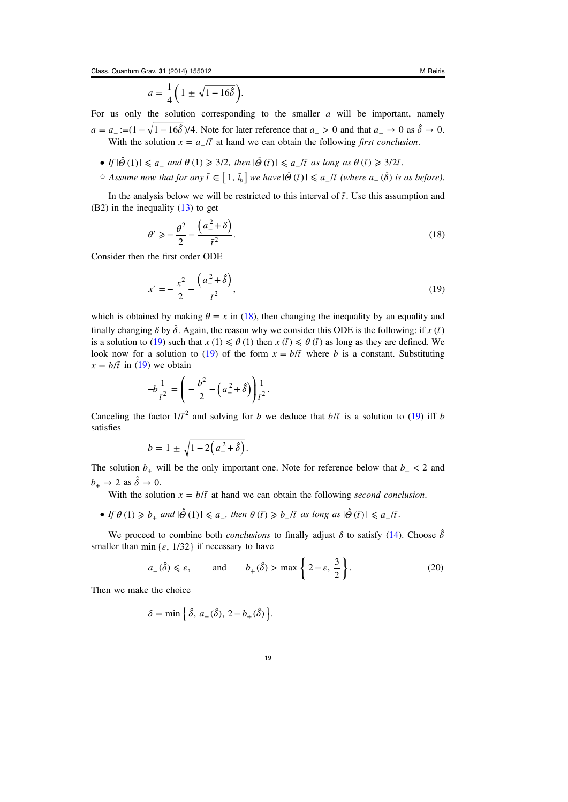$$
a = \frac{1}{4} \left( 1 \pm \sqrt{1 - 16 \hat{\delta}} \right).
$$

For us only the solution corresponding to the smaller  $a$  will be important, namely  $a = a_ - := (1 - \sqrt{1 - 16\hat{\delta}})/4$ . Note for later reference that  $a_- > 0$  and that  $a_- \to 0$  as  $\hat{\delta} \to 0$ . With the solution  $x = a / \bar{t}$  at hand we can obtain the following first conclusion.

- If  $|\hat{\Theta}(1)| \le a$  and  $\theta(1) \ge 3/2$ , then  $|\hat{\Theta}(\bar{t})| \le a$  /  $\bar{t}$  as long as  $\theta(\bar{t}) \ge 3/2\bar{t}$ .
- $\circ$  Assume now that for any  $\bar{t}$  ∈  $[1, \bar{t}_b]$  we have  $|\hat{\Theta}(\bar{t})|$  ≤  $a_$ I $\bar{t}$  (where  $a_$   $(\hat{\delta})$  is as before).

In the analysis below we will be restricted to this interval of  $\bar{t}$ . Use this assumption and  $(B2)$  in the inequality  $(13)$  $(13)$  to get

$$
\theta' \geqslant -\frac{\theta^2}{2} - \frac{\left(a_-^2 + \delta\right)}{\bar{t}^2}.
$$
\n<sup>(18)</sup>

Consider then the first order ODE

$$
x' = -\frac{x^2}{2} - \frac{(a_-^2 + \hat{\delta})}{\bar{t}^2},\tag{19}
$$

which is obtained by making  $\theta = x$  in (18), then changing the inequality by an equality and finally changing  $\delta$  by  $\hat{\delta}$ . Again, the reason why we consider this ODE is the following: if  $x(\bar{t})$ is a solution to (19) such that  $x(1) \le \theta(1)$  then  $x(\bar{t}) \le \theta(\bar{t})$  as long as they are defined. We look now for a solution to (19) of the form  $x = b/\bar{t}$  where b is a constant. Substituting  $x = b/\bar{t}$  in (19) we obtain

$$
-b\frac{1}{\bar{t}^2} = \left(-\frac{b^2}{2} - \left(a_-^2 + \hat{\delta}\right)\right)\frac{1}{\bar{t}^2}.
$$

Canceling the factor  $1/\bar{t}^2$  and solving for *b* we deduce that  $b/\bar{t}$  is a solution to (19) iff *b* satisfies

$$
b = 1 \pm \sqrt{1 - 2\left(a_{-}^{2} + \hat{\delta}\right)}.
$$

The solution  $b_+$  will be the only important one. Note for reference below that  $b_+ < 2$  and  $b_+ \to 2$  as  $\hat{\delta} \to 0$ .

- With the solution  $x = b/\bar{t}$  at hand we can obtain the following *second conclusion*.
- If  $\theta$  (1)  $\geq b_+$  and  $|\hat{\theta}$  (1)  $\leq a_-$ , then  $\theta$  ( $\bar{t}$ )  $\geq b_+/\bar{t}$  as long as  $|\hat{\theta}(\bar{t})| \leq a_-/\bar{t}$ .

We proceed to combine both *conclusions* to finally adjust  $\delta$  to satisfy ([14\)](#page-18-0). Choose  $\hat{\delta}$ smaller than min  $\{\varepsilon, 1/32\}$  if necessary to have

$$
a_{-}(\hat{\delta}) \le \varepsilon
$$
, and  $b_{+}(\hat{\delta}) > \max\left\{2 - \varepsilon, \frac{3}{2}\right\}$ . (20)

Then we make the choice

$$
\delta = \min \left\{ \hat{\delta}, a_{-}(\hat{\delta}), 2 - b_{+}(\hat{\delta}) \right\}.
$$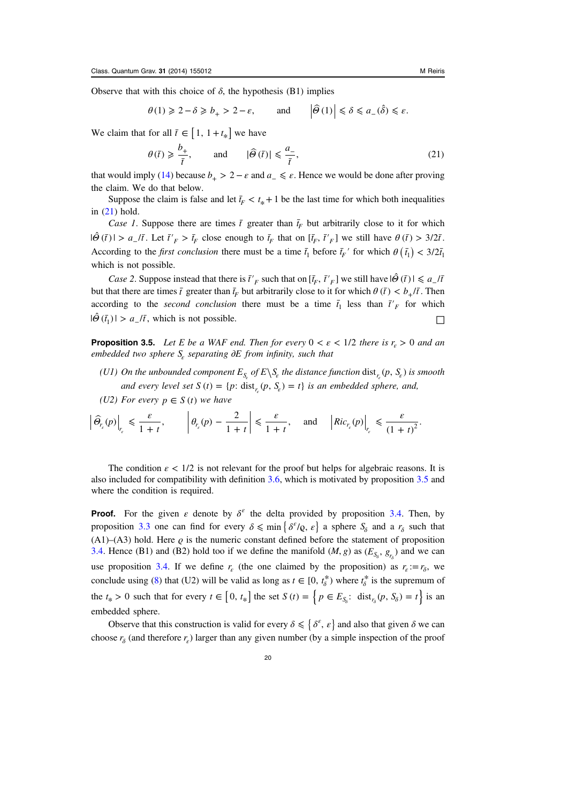<span id="page-20-0"></span>Observe that with this choice of  $\delta$ , the hypothesis (B1) implies

$$
\theta(1) \geq 2 - \delta \geq b_+ > 2 - \varepsilon
$$
, and  $|\hat{\theta}(1)| \leq \delta \leq a_-(\hat{\delta}) \leq \varepsilon$ .

We claim that for all  $\bar{t} \in [1, 1 + t_*]$  we have

$$
\theta(\bar{t}) \ge \frac{b_+}{\bar{t}}, \quad \text{and} \quad |\widehat{\Theta}(\bar{t})| \le \frac{a_-}{\bar{t}},
$$
\n(21)

that would imply ([14\)](#page-18-0) because  $b_+ > 2 - \varepsilon$  and  $a_- \leq \varepsilon$ . Hence we would be done after proving the claim. We do that below.

Suppose the claim is false and let  $\bar{t}_F < t_* + 1$  be the last time for which both inequalities in (21) hold.

Case 1. Suppose there are times  $\bar{t}$  greater than  $\bar{t}_F$  but arbitrarily close to it for which  $|\hat{\Theta}(\bar{t})| > a_{-}/\bar{t}$ . Let  $\bar{t}'_{F} > \bar{t}_{F}$  close enough to  $\bar{t}_{F}$  that on  $[\bar{t}_{F}, \bar{t}'_{F}]$  we still have  $\theta(\bar{t}) > 3/2\bar{t}$ . According to the *first conclusion* there must be a time  $\bar{t}_1$  before  $\bar{t}_f$  for which  $\theta(\bar{t}_1) < 3/2\bar{t}_1$ which is not possible.

*Case* 2. Suppose instead that there is  $\bar{t}'_F$  such that on  $[\bar{t}_F, \bar{t}'_F]$  we still have  $|\hat{\Theta}(\bar{t})| \le a_f/\bar{t}$ but that there are times  $\bar{t}$  greater than  $\bar{t}_F$  but arbitrarily close to it for which  $\theta(\bar{t}) < b_+/\bar{t}$ . Then according to the second conclusion there must be a time  $\bar{t}_1$  less than  $\bar{t}'_F$  for which  $|\hat{\Theta}(\bar{t}_1)| > a_-/\bar{t}$ , which is not possible.

**Proposition 3.5.** Let E be a WAF end. Then for every  $0 < \varepsilon < 1/2$  there is  $r_{\varepsilon} > 0$  and an embedded two sphere *<sup>ε</sup>S* separating ∂*E* from infinity, such that

- (U1) On the unbounded component  $E_S$  of  $E \setminus S_{\varepsilon}$  the distance function  $dist_r(p, S_{\varepsilon})$  is smooth and every level set  $S(t) = \{p: dist_r(p, S_s) = t\}$  *is an embedded sphere, and,*
- (U2) For every  $p \in S(t)$  we have

$$
\left|\widehat{\Theta}_{r_{\varepsilon}}(p)\right|_{r_{\varepsilon}} \leq \frac{\varepsilon}{1+t}, \qquad \left|\theta_{r_{\varepsilon}}(p) - \frac{2}{1+t}\right| \leq \frac{\varepsilon}{1+t}, \quad \text{and} \quad \left|Ric_{r_{\varepsilon}}(p)\right|_{r_{\varepsilon}} \leq \frac{\varepsilon}{(1+t)^2}.
$$

The condition  $\varepsilon < 1/2$  is not relevant for the proof but helps for algebraic reasons. It is also included for compatibility with definition [3.6](#page-23-0), which is motivated by proposition 3.5 and where the condition is required.

**Proof.** For the given  $\varepsilon$  denote by  $\delta^{\varepsilon}$  the delta provided by proposition [3.4](#page-16-0). Then, by proposition [3.3](#page-15-0) one can find for every  $\delta \leq \min\{\delta^{\varepsilon}/\rho, \varepsilon\}$  a sphere  $S_{\delta}$  and a  $r_{\delta}$  such that (A1)–(A3) hold. Here  $\rho$  is the numeric constant defined before the statement of proposition [3.4](#page-16-0). Hence (B1) and (B2) hold too if we define the manifold  $(M, g)$  as  $(E_{S_8}, g_{S_8})$  and we can use proposition [3.4.](#page-16-0) If we define  $r<sub>\varepsilon</sub>$  (the one claimed by the proposition) as  $r<sub>\varepsilon</sub> := r<sub>\delta</sub>$ , we conclude using ([8\)](#page-16-0) that (U2) will be valid as long as  $t \in [0, t_{\delta}^{*}]$  where  $t_{\delta}^{*}$  is the supremum of the  $t_* > 0$  such that for every  $t \in [0, t_*]$  the set  $S(t) = \{ p \in E_{S_\delta}: \text{dist}_{r_\delta}(p, S_\delta) = t \}$  is an embedded sphere.

Observe that this construction is valid for every  $\delta \leq \{ \delta^{\varepsilon}, \varepsilon \}$  and also that given  $\delta$  we can choose  $r_{\delta}$  (and therefore  $r_{\epsilon}$ ) larger than any given number (by a simple inspection of the proof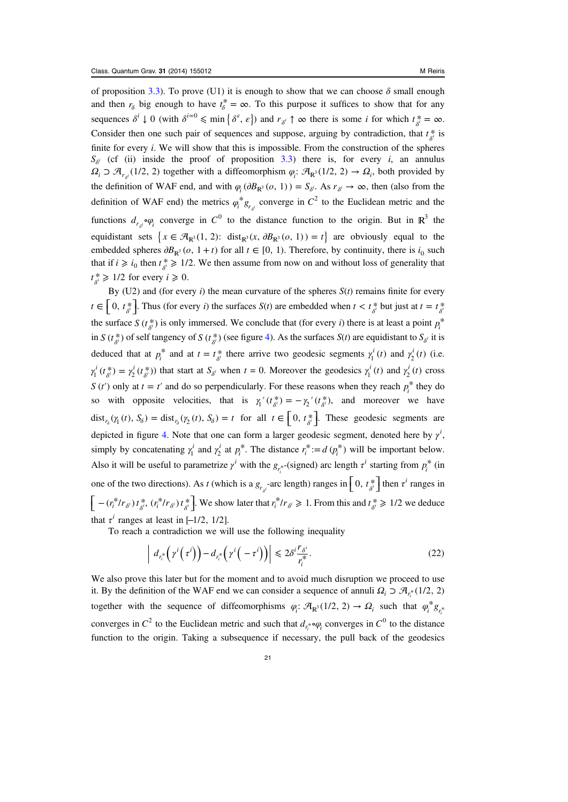<span id="page-21-0"></span>of proposition [3.3\)](#page-15-0). To prove (U1) it is enough to show that we can choose  $\delta$  small enough and then  $r_{\delta}$  big enough to have  $t_{\delta}^* = \infty$ . To this purpose it suffices to show that for any sequences  $\delta^i \downarrow 0$  (with  $\delta^{i=0} \leq \min\{\delta^\epsilon, \epsilon\}$ ) and  $r_{\delta^i} \uparrow \infty$  there is some *i* for which  $t_{\delta^i}^* = \infty$ . Consider then one such pair of sequences and suppose, arguing by contradiction, that  $t_{\delta}^*$  is finite for every  $i$ . We will show that this is impossible. From the construction of the spheres  $S_{\delta^i}$  (cf (ii) inside the proof of proposition [3.3\)](#page-15-0) there is, for every i, an annulus  $\Omega_i \supset \mathcal{A}_{r_{\delta^i}}(1/2, 2)$  together with a diffeomorphism  $\varphi_i: \mathcal{A}_{\mathbb{R}^3}(1/2, 2) \to \Omega_i$ , both provided by the definition of WAF end, and with  $\varphi_i(\partial B_{\mathbb{R}^3}(o, 1)) = S_{\delta^i}$ . As  $r_{\delta^i} \to \infty$ , then (also from the definition of WAF end) the metrics  $\varphi_i^* g_{r_{s^i}}$  converge in  $C^2$  to the Euclidean metric and the functions  $d_{r_{s_i}} \circ \varphi_i$  converge in  $C^0$  to the distance function to the origin. But in  $\mathbb{R}^3$  the equidistant sets  $\{x \in \mathcal{A}_{\mathbb{R}^3}(1, 2)$ : dist $_{\mathbb{R}^3}(x, \partial B_{\mathbb{R}^3}(0, 1)) = t\}$  are obviously equal to the embedded spheres  $\partial B_{\mathbb{R}^3}$  (*o*, 1 + *t*) for all *t* ∈ [0, 1). Therefore, by continuity, there is *i*<sub>0</sub> such that if  $i \geq i_0$  then  $t_{\delta^i}^* \geq 1/2$ . We then assume from now on and without loss of generality that  $t_{\delta^i}^* \geq 1/2$  for every  $i \geq 0$ .

By (U2) and (for every  $i$ ) the mean curvature of the spheres  $S(t)$  remains finite for every  $t \in [0, t^*_{\delta}].$  Thus (for every *i*) the surfaces  $S(t)$  are embedded when  $t < t^*_{\delta}$  but just at  $t = t^*_{\delta}$ the surface *S* ( $t_{\delta}^*$ ) is only immersed. We conclude that (for every *i*) there is at least a point  $p_i^*$ in *S* ( $t_{\delta}^*$ ) of self tangency of *S* ( $t_{\delta}^*$ ) (see figure [4\)](#page-22-0). As the surfaces *S*(*t*) are equidistant to  $S_{\delta}$  it is deduced that at  $p_i^*$  and at  $t = t_{\delta}^*$  there arrive two geodesic segments  $\gamma_1^i(t)$  and  $\gamma_2^i(t)$  (i.e.  $\gamma_1^i(t_{\delta}^*) = \gamma_2^i(t_{\delta}^*)$  that start at  $S_{\delta}$  when  $t = 0$ . Moreover the geodesics  $\gamma_1^i(t)$  and  $\gamma_2^i(t)$  cross *S* (*t'*) only at  $t = t'$  and do so perpendicularly. For these reasons when they reach  $p_i^*$  they do so with opposite velocities, that is  $\gamma_1'(t_{\delta}^*) = -\gamma_2'(t_{\delta}^*)$ , and moreover we have  $dist_{r_\delta}(\gamma_1(t), S_\delta) = dist_{r_\delta}(\gamma_2(t), S_\delta) = t$  for all  $t \in [0, t_{\delta}^*]$ . These geodesic segments are depicted in figure [4.](#page-22-0) Note that one can form a larger geodesic segment, denoted here by  $\gamma^i$ , simply by concatenating  $\gamma_1^i$  and  $\gamma_2^i$  at  $p_i^*$ . The distance  $r_i^* := d(p_i^*)$  will be important below. Also it will be useful to parametrize  $\gamma^i$  with the  $g_{\gamma_i^{*}}$ -(signed) arc length  $\tau^i$  starting from  $p_i^*$  (in one of the two directions). As t (which is a  $g_{r_{s'}}$ -arc length) ranges in  $\left[0, t_{s'}^*\right]$  then  $\tau^i$  ranges in  $\left[-(r_i^* / r_{\delta}t) t_{\delta}^*, (r_i^* / r_{\delta}t) t_{\delta}^* \right]$ . We show later that  $r_i^* / r_{\delta}t \ge 1$ . From this and  $t_{\delta}^* \ge 1/2$  we deduce that  $\tau^i$  ranges at least in  $[-1/2, 1/2]$ .

To reach a contradiction we will use the following inequality

$$
\left| d_{r_i^*}\left(\gamma^i\left(\tau^i\right)\right) - d_{r_i^*}\left(\gamma^i\left(-\tau^i\right)\right) \right| \leq 2\delta^i \frac{r_{\delta^i}}{r_i^*}.
$$
\n(22)

We also prove this later but for the moment and to avoid much disruption we proceed to use it. By the definition of the WAF end we can consider a sequence of annuli  $\Omega_i \supset \mathcal{A}_{r^*}(1/2, 2)$ together with the sequence of diffeomorphisms  $\varphi_i: \mathcal{A}_{\mathbb{R}^3}(1/2, 2) \to \Omega_i$  such that  $\varphi_i^* g_{\xi_i^*}$ converges in  $C^2$  to the Euclidean metric and such that  $d_{r,*} \circ \varphi$  converges in  $C^0$  to the distance function to the origin. Taking a subsequence if necessary, the pull back of the geodesics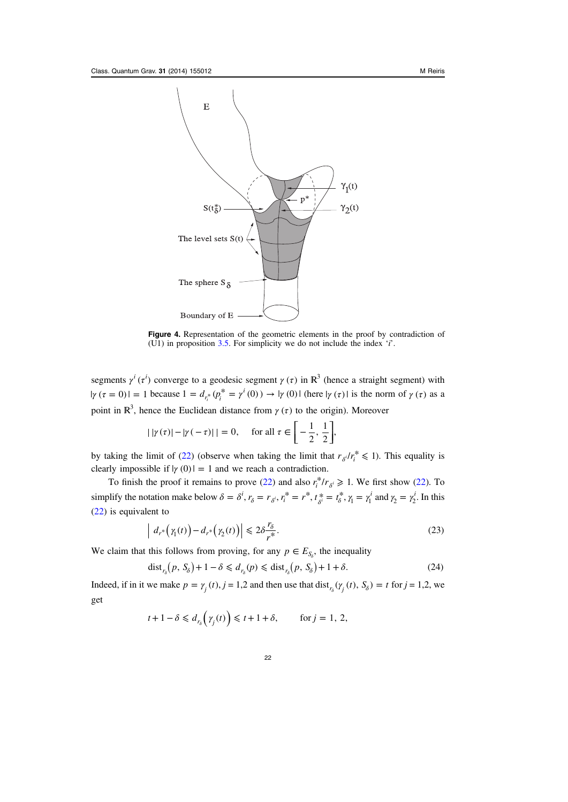<span id="page-22-0"></span>

Figure 4. Representation of the geometric elements in the proof by contradiction of (U1) in proposition  $3.5$ . For simplicity we do not include the index 'i'.

segments  $\gamma^{i}$  ( $\tau^{i}$ ) converge to a geodesic segment  $\gamma(\tau)$  in  $\mathbb{R}^{3}$  (hence a straight segment) with  $|\gamma(\tau = 0)| = 1$  because  $1 = d_{r_i^*}(p_i^* = \gamma^i(0)) \to |\gamma(0)|$  (here  $|\gamma(\tau)|$  is the norm of  $\gamma(\tau)$  as a point in  $\mathbb{R}^3$ , hence the Euclidean distance from  $\gamma(\tau)$  to the origin). Moreover

$$
|\nvert \gamma(\tau) \vert - \vert \gamma(-\tau) \vert \rvert = 0, \quad \text{ for all } \tau \in \left[ -\frac{1}{2}, \frac{1}{2} \right],
$$

by taking the limit of [\(22](#page-21-0)) (observe when taking the limit that  $r_{\delta}/r_i^* \leq 1$ ). This equality is clearly impossible if  $|\gamma(0)| = 1$  and we reach a contradiction.

To finish the proof it remains to prove ([22\)](#page-21-0) and also  $r_i^* / r_{\delta} \ge 1$ . We first show [\(22](#page-21-0)). To simplify the notation make below  $\delta = \delta^i$ ,  $r_{\delta} = r_{\delta^i}$ ,  $r_i^* = r^*$ ,  $t_{\delta^i}^* = t_{\delta}^*$ ,  $\gamma_1 = \gamma_1^i$  and  $\gamma_2 = \gamma_2^i$ . In this ([22\)](#page-21-0) is equivalent to

$$
\left| d_{r^*}\left(\gamma_1(t)\right) - d_{r^*}\left(\gamma_2(t)\right) \right| \leq 2\delta \frac{r_{\delta}}{r^*}.
$$
\n(23)

We claim that this follows from proving, for any  $p \in E_{S_s}$ , the inequality

$$
\text{dist}_{r_{\delta}}(p, S_{\delta}) + 1 - \delta \leq d_{r_{\delta}}(p) \leq \text{dist}_{r_{\delta}}(p, S_{\delta}) + 1 + \delta. \tag{24}
$$

Indeed, if in it we make  $p = \gamma_i(t)$ ,  $j = 1,2$  and then use that  $dist_{\gamma_i}(\gamma_i(t), S_\delta) = t$  for  $j = 1,2$ , we get

$$
t+1-\delta \leq d_{r_\delta}\Big(\gamma_j(t)\Big) \leq t+1+\delta, \qquad \text{for } j=1, 2,
$$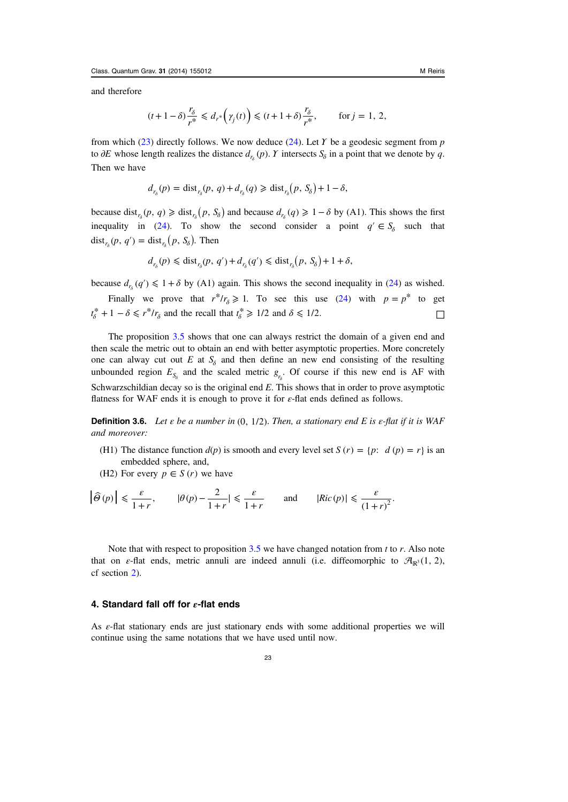<span id="page-23-0"></span>and therefore

$$
(t+1-\delta)\frac{r_{\delta}}{r^*} \le d_{r^*}\left(\gamma_j(t)\right) \le (t+1+\delta)\frac{r_{\delta}}{r^*}, \quad \text{for } j=1, 2,
$$

from which ([23\)](#page-22-0) directly follows. We now deduce ([24\)](#page-22-0). Let *Υ* be a geodesic segment from p to  $\partial E$  whose length realizes the distance  $d_{r_{\delta}}(p)$ . *Y* intersects  $S_{\delta}$  in a point that we denote by q. Then we have

$$
d_{r_{\delta}}(p) = \text{dist}_{r_{\delta}}(p, q) + d_{r_{\delta}}(q) \ge \text{dist}_{r_{\delta}}(p, S_{\delta}) + 1 - \delta,
$$

because dist<sub>r<sub>s</sub></sub> $(p, q) \ge \text{dist}_{r_s}(p, S_\delta)$  and because  $d_{r_s}(q) \ge 1 - \delta$  by (A1). This shows the first inequality in ([24\)](#page-22-0). To show the second consider a point  $q' \in S_\delta$  such that  $dist_{r_s}(p, q') = dist_{r_s}(p, S_\delta)$ . Then

$$
d_{r_\delta}(p) \leq \text{dist}_{r_\delta}(p, q') + d_{r_\delta}(q') \leq \text{dist}_{r_\delta}(p, S_\delta) + 1 + \delta,
$$

because  $d_{r_s}(q') \leq 1+\delta$  by (A1) again. This shows the second inequality in ([24\)](#page-22-0) as wished.

Finally we prove that  $r^*/r_s \ge 1$ . To see this use ([24\)](#page-22-0) with  $p = p^*$  to get  $t_{\delta}^{*} + 1 - \delta \leqslant r^{*}/r_{\delta}$  and the recall that  $t_{\delta}^{*} \geqslant 1/2$  and  $\delta \leqslant 1/2$ .

The proposition [3.5](#page-20-0) shows that one can always restrict the domain of a given end and then scale the metric out to obtain an end with better asymptotic properties. More concretely one can alway cut out  $E$  at  $S_\delta$  and then define an new end consisting of the resulting unbounded region  $E_{S_\delta}$  and the scaled metric  $g_{r_\delta}$ . Of course if this new end is AF with Schwarzschildian decay so is the original end  $E$ . This shows that in order to prove asymptotic flatness for WAF ends it is enough to prove it for  $\varepsilon$ -flat ends defined as follows.

**Definition 3.6.** Let  $\varepsilon$  be a number in  $(0, 1/2)$ . Then, a stationary end E is  $\varepsilon$ -flat if it is WAF and moreover:

- (H1) The distance function  $d(p)$  is smooth and every level set  $S(r) = \{p: d(p) = r\}$  is an embedded sphere, and,
- (H2) For every  $p \in S(r)$  we have

$$
\left|\widehat{\Theta}\left(p\right)\right| \leqslant \frac{\varepsilon}{1+r}, \qquad \left|\theta\left(p\right)-\frac{2}{1+r}\right| \leqslant \frac{\varepsilon}{1+r} \qquad \text{and} \qquad \left|Ric\left(p\right)\right| \leqslant \frac{\varepsilon}{\left(1+r\right)^2}.
$$

Note that with respect to proposition  $3.5$  we have changed notation from t to r. Also note that on *ε*-flat ends, metric annuli are indeed annuli (i.e. diffeomorphic to  $\mathcal{A}_{\mathbb{R}^3}(1, 2)$ , cf section [2\)](#page-10-0).

## 4. Standard fall off for  $\varepsilon$ -flat ends

As  $\varepsilon$ -flat stationary ends are just stationary ends with some additional properties we will continue using the same notations that we have used until now.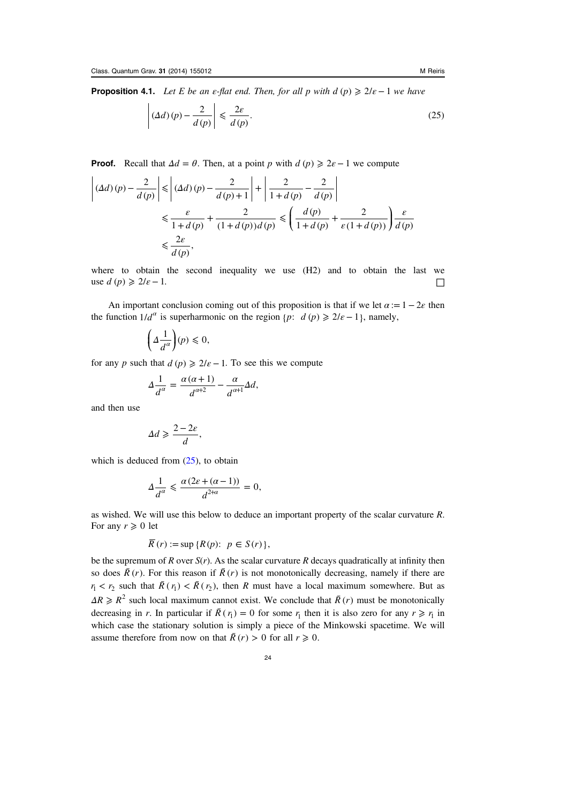**Proposition 4.1.** Let E be an  $\varepsilon$ -flat end. Then, for all p with  $d(p) \geq 2/\varepsilon - 1$  we have

$$
\left| \left( \Delta d \right) (p) - \frac{2}{d(p)} \right| \leqslant \frac{2\varepsilon}{d(p)}.\tag{25}
$$

**Proof.** Recall that  $\Delta d = \theta$ . Then, at a point p with  $d(p) \geq 2\varepsilon - 1$  we compute

$$
\left| (\Delta d)(p) - \frac{2}{d(p)} \right| \leq \left| (\Delta d)(p) - \frac{2}{d(p)+1} \right| + \left| \frac{2}{1+d(p)} - \frac{2}{d(p)} \right|
$$
  

$$
\leq \frac{\varepsilon}{1+d(p)} + \frac{2}{(1+d(p))d(p)} \leq \left( \frac{d(p)}{1+d(p)} + \frac{2}{\varepsilon(1+d(p))} \right) \frac{\varepsilon}{d(p)}
$$
  

$$
\leq \frac{2\varepsilon}{d(p)},
$$

where to obtain the second inequality we use (H2) and to obtain the last we use  $d(p) \geq 2/\varepsilon - 1$ .

An important conclusion coming out of this proposition is that if we let  $\alpha := 1 - 2\varepsilon$  then the function  $1/d^{\alpha}$  is superharmonic on the region {*p*:  $d(p) \ge 2/\varepsilon - 1$ }, namely,

$$
\left(\Delta \frac{1}{d^{\alpha}}\right)(p) \leq 0,
$$

for any p such that  $d(p) \geq 2/\varepsilon - 1$ . To see this we compute

$$
\Delta \frac{1}{d^{\alpha}} = \frac{\alpha(\alpha+1)}{d^{\alpha+2}} - \frac{\alpha}{d^{\alpha+1}} \Delta d,
$$

and then use

$$
\Delta d \geqslant \frac{2 - 2\varepsilon}{d},
$$

which is deduced from  $(25)$ , to obtain

$$
\Delta \frac{1}{d^{\alpha}} \leqslant \frac{\alpha (2\varepsilon + (\alpha - 1))}{d^{2+\alpha}} = 0,
$$

as wished. We will use this below to deduce an important property of the scalar curvature R. For any  $r \geq 0$  let

$$
\overline{R}(r) := \sup \{ R(p): p \in S(r) \},
$$

be the supremum of R over  $S(r)$ . As the scalar curvature R decays quadratically at infinity then so does  $\bar{R}(r)$ . For this reason if  $\bar{R}(r)$  is not monotonically decreasing, namely if there are  $r_1 < r_2$  such that  $\bar{R}(r_1) < \bar{R}(r_2)$ , then R must have a local maximum somewhere. But as  $\Delta R \ge R^2$  such local maximum cannot exist. We conclude that  $\bar{R}(r)$  must be monotonically decreasing in *r*. In particular if  $\bar{R}(r_1) = 0$  for some  $r_1$  then it is also zero for any  $r \ge r_1$  in which case the stationary solution is simply a piece of the Minkowski spacetime. We will assume therefore from now on that  $\bar{R}(r) > 0$  for all  $r \ge 0$ .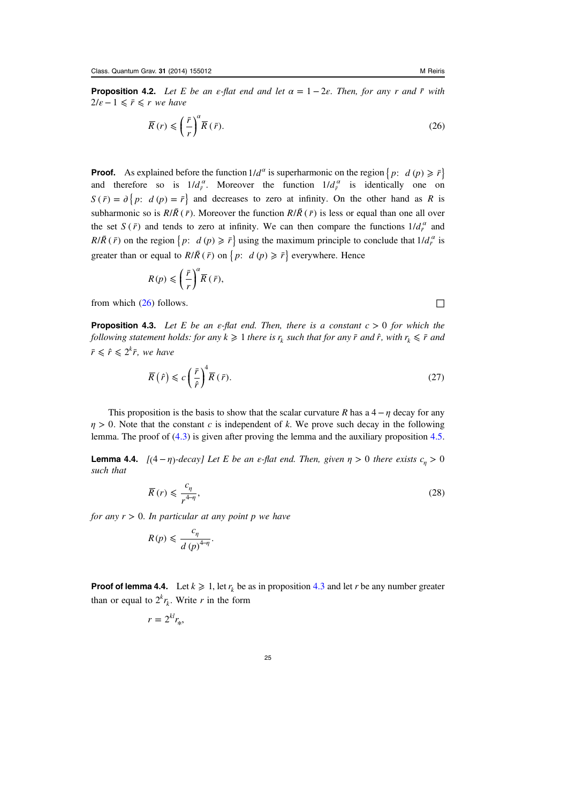<span id="page-25-0"></span>**Proposition 4.2.** Let *E* be an  $\varepsilon$ -flat end and let  $\alpha = 1 - 2\varepsilon$ . Then, for any r and  $\bar{r}$  with  $2/\varepsilon - 1 \leqslant \bar{r} \leqslant r$  we have

$$
\overline{R}(r) \leqslant \left(\frac{\overline{r}}{r}\right)^{\alpha} \overline{R}(\overline{r}).\tag{26}
$$

**Proof.** As explained before the function  $1/d^{\alpha}$  is superharmonic on the region  $\{p: d(p) \geq \bar{r}\}\$ and therefore so is  $1/d_f^{\alpha}$ . Moreover the function  $1/d_f^{\alpha}$  is identically one on  $S(\bar{r}) = \partial \{p: d(p) = \bar{r}\}\$ and decreases to zero at infinity. On the other hand as R is subharmonic so is  $R/\overline{R}(\overline{r})$ . Moreover the function  $R/\overline{R}(\overline{r})$  is less or equal than one all over the set  $S(\bar{r})$  and tends to zero at infinity. We can then compare the functions  $1/d_f^{\alpha}$  and  $R/\overline{R}(\overline{r})$  on the region  $\{p: d(p) \geq \overline{r}\}$  using the maximum principle to conclude that  $1/d_{\overline{r}}^{\alpha}$  is greater than or equal to  $R/\overline{R}(\overline{r})$  on  $\{p: d(p) \geq \overline{r}\}$  everywhere. Hence

$$
R(p) \leqslant \left(\frac{\bar{r}}{r}\right)^{\alpha} \overline{R}(\bar{r}),
$$

from which  $(26)$  follows.  $\Box$ 

**Proposition 4.3.** Let E be an  $\varepsilon$ -flat end. Then, there is a constant  $c > 0$  for which the following statement holds: for any  $k \geq 1$  there is  $r_k$  such that for any  $\bar{r}$  and  $\hat{r}$ , with  $r_k \leq \bar{r}$  and  $\bar{r} \leqslant \hat{r} \leqslant 2^k \bar{r}$ , we have

$$
\overline{R}\left(\hat{r}\right) \leqslant c\left(\frac{\bar{r}}{\hat{r}}\right)^{4}\overline{R}\left(\bar{r}\right). \tag{27}
$$

This proposition is the basis to show that the scalar curvature R has a  $4 - \eta$  decay for any  $\eta > 0$ . Note that the constant c is independent of k. We prove such decay in the following lemma. The proof of (4.3) is given after proving the lemma and the auxiliary proposition [4.5.](#page-26-0)

**Lemma 4.4.**  $[(4 - \eta) - decay]$  Let E be an  $\varepsilon$ -flat end. Then, given  $\eta > 0$  there exists  $c_n > 0$ such that

$$
\overline{R}(r) \leqslant \frac{c_{\eta}}{r^{4-\eta}},\tag{28}
$$

for any  $r > 0$ . In particular at any point p we have

$$
R(p) \leq \frac{c_{\eta}}{d\left(p\right)^{4-\eta}}.
$$

**Proof of lemma 4.4.** Let  $k \ge 1$ , let  $r_k$  be as in proposition 4.3 and let r be any number greater than or equal to  $2^k r_k$ . Write r in the form

$$
r=2^{kl}r_*,
$$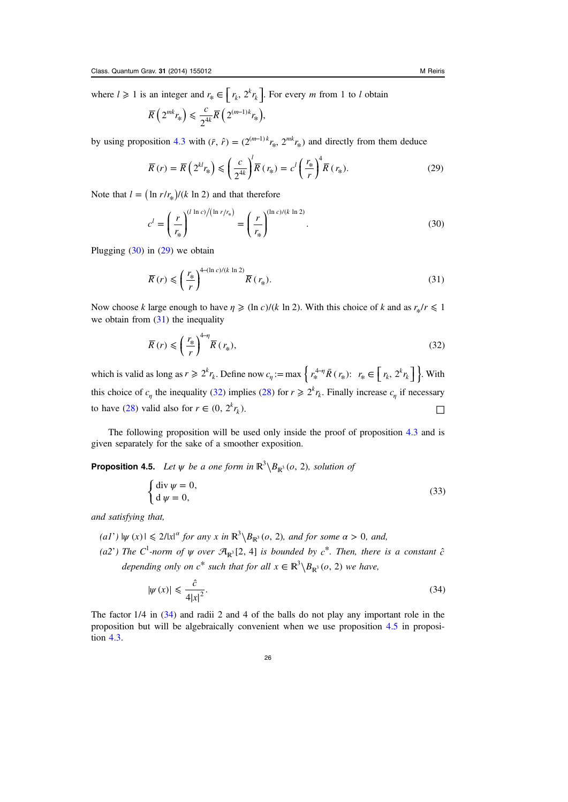<span id="page-26-0"></span>where  $l \geq 1$  is an integer and  $r_* \in [r_k, 2^k r_k]$ . For every *m* from 1 to *l* obtain

$$
\overline{R}\left(2^{mk}r_*\right) \leq \frac{c}{2^{4k}}\overline{R}\left(2^{(m-1)k}r_*\right),
$$

by using proposition [4.3](#page-25-0) with  $(\bar{r}, \hat{r}) = (2^{(m-1)k} r_k, 2^{mk} r_k)$  and directly from them deduce

$$
\overline{R}(r) = \overline{R}\left(2^{kl}r_{*}\right) \leqslant \left(\frac{c}{2^{4k}}\right)^{l} \overline{R}(r_{*}) = c^{l}\left(\frac{r_{*}}{r}\right)^{4} \overline{R}(r_{*}).\tag{29}
$$

Note that  $l = (\ln r/r_{\rm s})/(k \ln 2)$  and that therefore

$$
c^{l} = \left(\frac{r}{r_{*}}\right)^{(l \ln c)/( \ln r/r_{*})} = \left(\frac{r}{r_{*}}\right)^{(\ln c)/(k \ln 2)}.
$$
\n(30)

Plugging  $(30)$  in  $(29)$  we obtain

$$
\overline{R}(r) \leqslant \left(\frac{r_{*}}{r}\right)^{4-\left(\ln c\right)/\left(k\ln 2\right)} \overline{R}(r_{*}).\tag{31}
$$

Now choose k large enough to have  $\eta \ge (\ln c)/(k \ln 2)$ . With this choice of k and as  $r_x/r \le 1$ we obtain from  $(31)$  the inequality

$$
\overline{R}(r) \leqslant \left(\frac{r_{*}}{r}\right)^{4-\eta} \overline{R}(r_{*}),\tag{32}
$$

which is valid as long as  $r \ge 2^k r_k$ . Define now  $c_\eta := \max \left\{ r_*^{4-\eta} \bar{R} (r_*) : r_* \in [r_k, 2^k r_k] \right\}$ . With this choice of  $c_\eta$  the inequality (32) implies ([28\)](#page-25-0) for  $r \geq 2^k r_k$ . Finally increase  $c_\eta$  if necessary to have ([28\)](#page-25-0) valid also for  $r \in (0, 2^k r_k)$  $\hat{k}$  .

The following proposition will be used only inside the proof of proposition [4.3](#page-25-0) and is given separately for the sake of a smoother exposition.

**Proposition 4.5.** Let  $\psi$  be a one form in  $\mathbb{R}^3 \setminus B_{\mathbb{R}^3}$  (o, 2), solution of

$$
\begin{cases} \operatorname{div} \psi = 0, \\ \operatorname{d} \psi = 0, \end{cases} \tag{33}
$$

and satisfying that,

- $(a1')$   $|\psi(x)| \leq 2/\vert x \vert^{\alpha}$  for any x in  $\mathbb{R}^3 \setminus B_{\mathbb{R}^3}$  (*o*, 2), and for some  $\alpha > 0$ , and,
- (a2') The  $C^1$ -norm of  $\psi$  over  $\mathcal{A}_{\mathbb{R}^3}[2, 4]$  is bounded by  $c^*$ . Then, there is a constant  $\hat{c}$ depending only on  $c^*$  such that for all  $x \in \mathbb{R}^3 \backslash B_{\mathbb{R}^3}$  (o, 2) we have,

$$
|\psi(x)| \leq \frac{\hat{c}}{4|x|^2}.\tag{34}
$$

The factor 1/4 in (34) and radii 2 and 4 of the balls do not play any important role in the proposition but will be algebraically convenient when we use proposition 4.5 in proposition [4.3.](#page-25-0)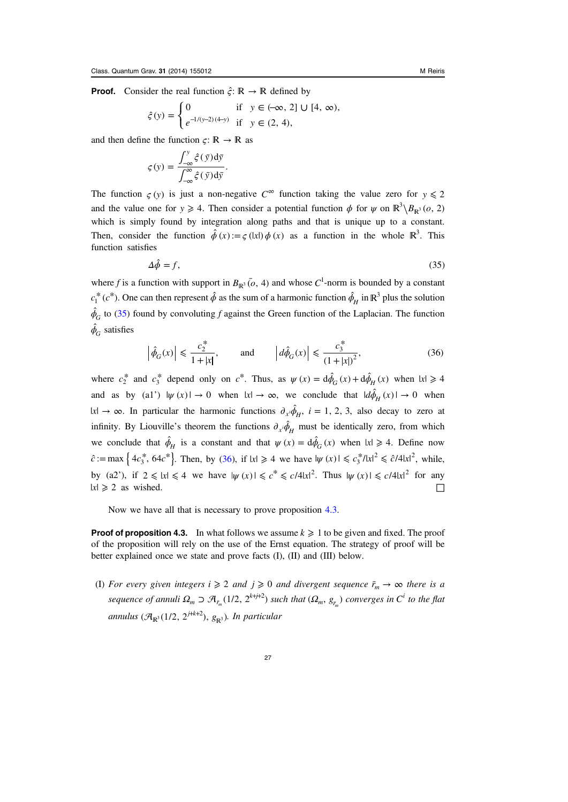<span id="page-27-0"></span>**Proof.** Consider the real function  $\hat{\zeta}$ :  $\mathbb{R} \to \mathbb{R}$  defined by

$$
\hat{\zeta}(y) = \begin{cases} 0 & \text{if } y \in (-\infty, 2] \cup [4, \infty), \\ e^{-1/(y-2)(4-y)} & \text{if } y \in (2, 4), \end{cases}
$$

and then define the function  $\varsigma: \mathbb{R} \to \mathbb{R}$  as

$$
\varsigma(y) = \frac{\int_{-\infty}^{y} \hat{\varsigma}(\bar{y}) d\bar{y}}{\int_{-\infty}^{\infty} \hat{\varsigma}(\bar{y}) d\bar{y}}.
$$

The function  $\zeta(y)$  is just a non-negative  $C^{\infty}$  function taking the value zero for  $y \le 2$ and the value one for  $y \ge 4$ . Then consider a potential function  $\phi$  for  $\psi$  on  $\mathbb{R}^3 \setminus B_{\mathbb{R}^3}(0, 2)$ which is simply found by integration along paths and that is unique up to a constant. Then, consider the function  $\hat{\phi}(x) := \phi(x) \phi(x)$  as a function in the whole  $\mathbb{R}^3$ . This function satisfies

$$
\Delta \hat{\phi} = f,\tag{35}
$$

where f is a function with support in  $B_{\mathbb{R}^3}(\overline{o}, 4)$  and whose  $C^1$ -norm is bounded by a constant  $c_1^*(c^*)$ . One can then represent  $\hat{\phi}$  as the sum of a harmonic function  $\hat{\phi}$ <sub>H</sub> in  $\mathbb{R}^3$  plus the solution  $\hat{\phi}_G$  to (35) found by convoluting f against the Green function of the Laplacian. The function  $\hat{\phi}_G$  satisfies

$$
\left|\hat{\phi}_G(x)\right| \leq \frac{c_2^*}{1+|x|}, \quad \text{and} \quad \left|d\hat{\phi}_G(x)\right| \leq \frac{c_3^*}{(1+|x|)^2},\tag{36}
$$

where  $c_2^*$  and  $c_3^*$  depend only on  $c^*$ . Thus, as  $\psi(x) = d\hat{\phi}_G(x) + d\hat{\phi}_H(x)$  when  $|x| \ge 4$ and as by (a1')  $|\psi(x)| \to 0$  when  $|x| \to \infty$ , we conclude that  $|d\hat{\phi}_H(x)| \to 0$  when  $|x|$  → ∞. In particular the harmonic functions  $\partial_x \hat{\phi}_H$ ,  $i = 1, 2, 3$ , also decay to zero at infinity. By Liouville's theorem the functions  $\partial_x \phi_H$  must be identically zero, from which we conclude that  $\hat{\phi}_H$  is a constant and that  $\psi(x) = d\hat{\phi}_G(x)$  when  $|x| \ge 4$ . Define now  $\hat{c} := \max\left\{4c_3^*, 64c^*\right\}$ . Then, by (36), if  $|x| \geq 4$  we have  $|\psi(x)| \leq c_3^* / |x|^2 \leq \hat{c}/4|x|^2$ , while, by (a2'), if  $2 \le |x| \le 4$  we have  $|\psi(x)| \le c^* \le c/4|x|^2$ . Thus  $|\psi(x)| \le c/4|x|^2$  for any  $|x| \geq 2$  as wished.

Now we have all that is necessary to prove proposition [4.3](#page-25-0).

**Proof of proposition 4.3.** In what follows we assume  $k \ge 1$  to be given and fixed. The proof of the proposition will rely on the use of the Ernst equation. The strategy of proof will be better explained once we state and prove facts (I), (II) and (III) below.

(I) For every given integers  $i \geq 2$  and  $j \geq 0$  and divergent sequence  $\bar{r}_m \to \infty$  there is a sequence of annuli  $\Omega_m \supset \mathcal{A}_{\bar{r}_m}(1/2, 2^{k+j+2})$  such that  $(\Omega_m, g_{_{\bar{r}_m}})$  converges in  $C^i$  to the flat annulus  $(\mathcal{A}_{\mathbb{R}^3}(1/2, 2^{j+k+2}), g_{\mathbb{R}^3})$ . In particular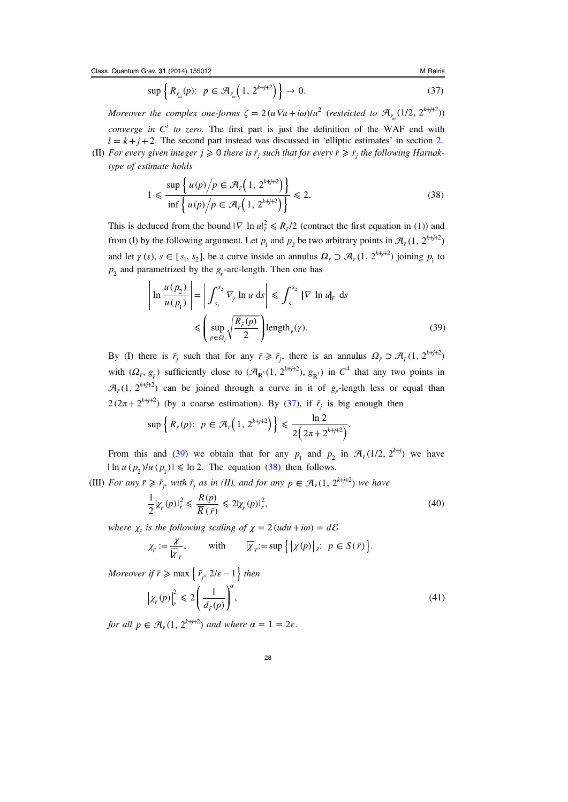$$
\sup\left\{R_{\bar{r}_m}(p)\colon\ p\in\mathcal{A}_{\bar{r}_m}\left(1,\,2^{k+j+2}\right)\right\}\to 0.\tag{37}
$$

<span id="page-28-0"></span>Moreover the complex one-forms  $\zeta = 2(u \nabla u + i\omega) / u^2$  (restricted to  $\mathcal{A}_{\bar{r}_m}(1/2, 2^{k+j+2})$ ) *converge in*  $C^i$  *to zero.* The first part is just the definition of the WAF end with  $l = k+j+2$  $l = k+j+2$ . The second part instead was discussed in 'elliptic estimates' in section 2.

(II) For every given integer  $j \ge 0$  there is  $\tilde{r}_j$  such that for every  $\bar{r} \ge \tilde{r}_j$  the following Harnaktype of estimate holds

$$
1 \leq \frac{\sup\left\{u(p)/p \in \mathcal{A}_r\left(1, 2^{k+j+2}\right)\right\}}{\inf\left\{u(p)/p \in \mathcal{A}_r\left(1, 2^{k+j+2}\right)\right\}} \leq 2. \tag{38}
$$

This is deduced from the bound  $|\nabla \ln u|^2 \le R_F/2$  (contract the first equation in [\(1](#page-7-0))) and from (I) by the following argument. Let  $p_1$  and  $p_2$  be two arbitrary points in  $\mathcal{A}_{\bar{r}}(1, 2^{k+j+2})$ and let  $\gamma$  (*s*),  $s \in [s_1, s_2]$ , be a curve inside an annulus  $\Omega_{\tilde{r}} \supset \mathcal{A}_{\tilde{r}}(1, 2^{k+j+2})$  joining  $p_1$  to  $p_2$  and parametrized by the  $g_r$ -arc-length. Then one has

$$
\left| \ln \frac{u(p_2)}{u(p_1)} \right| = \left| \int_{s_1}^{s_2} \nabla_{\dot{\gamma}} \ln u \, ds \right| \leqslant \int_{s_1}^{s_2} |\nabla \ln u|_{\vec{r}} \, ds
$$
\n
$$
\leqslant \left( \sup_{p \in \Omega_{\vec{r}}} \sqrt{\frac{R_{\vec{r}}(p)}{2}} \right) \operatorname{length}_{\vec{r}}(\gamma). \tag{39}
$$

By (I) there is  $\tilde{r}_j$  such that for any  $\tilde{r} \geq \tilde{r}_j$ , there is an annulus  $\Omega_{\tilde{r}} \supset \mathcal{A}_{\tilde{r}}(1, 2^{k+j+2})$ with  $(\Omega_{\bar{r}}, g_{\bar{r}})$  sufficiently close to  $(\mathcal{A}_{\mathbb{R}^3}(1, 2^{k+j+2}), g_{\mathbb{R}^3})$  in  $C^4$  that any two points in  $\mathcal{A}_r(1, 2^{k+j+2})$  can be joined through a curve in it of  $g_{\bar{r}}$ -length less or equal than  $2(2\pi + 2^{k+j+2})$  (by a coarse estimation). By ([37\)](#page-27-0), if  $\tilde{r}_i$  is big enough then

$$
\sup\left\{R_{\bar{r}}(p): p\in\mathcal{A}_{\bar{r}}\Big(1,\,2^{k+j+2}\Big)\right\}\leq\frac{\ln 2}{2\Big(2\pi+2^{k+j+2}\Big)}.
$$

From this and (39) we obtain that for any  $p_1$  and  $p_2$  in  $\mathcal{A}_{\bar{r}}(1/2, 2^{k+j})$  we have  $\ln u(p_2) / u(p_1) \leq \ln 2$ . The equation (38) then follows.

(III) For any  $\bar{r} \geq \tilde{r}_j$ , with  $\tilde{r}_j$  as in (II), and for any  $p \in \mathcal{A}_{\bar{r}}(1, 2^{k+j+2})$  we have

$$
\frac{1}{2}|\chi_{\bar{r}}(p)|_{\bar{r}}^2 \leq \frac{R(p)}{\overline{R}(\bar{r})} \leq 2|\chi_{\bar{r}}(p)|_{\bar{r}}^2,\tag{40}
$$

where  $\chi$ <sup>*<sub><i>r</sub>*</sup> is the following scaling of  $\chi = 2( u du + i\omega ) = d\mathcal{E}$ </sup></sub>

$$
\chi_{\bar{r}} := \frac{\chi}{|\chi|_{\bar{r}}}, \quad \text{with} \quad |\overline{\chi}|_{\bar{r}} := \sup \{ |\chi(p)|_{\bar{r}} : p \in S(\bar{r}) \}.
$$

Moreover if  $\bar{r} \geq \max \{ \tilde{r}_i, 2/\varepsilon - 1 \}$  then

$$
\left|\chi_{\scriptscriptstyle \text{F}}(p)\right|_{\scriptscriptstyle \text{F}}^2 \leqslant 2\left(\frac{1}{d_{\scriptscriptstyle \text{F}}(p)}\right)^{\alpha},\tag{41}
$$

for all  $p \in \mathcal{A}_F(1, 2^{k+j+2})$  and where  $\alpha = 1 = 2\varepsilon$ .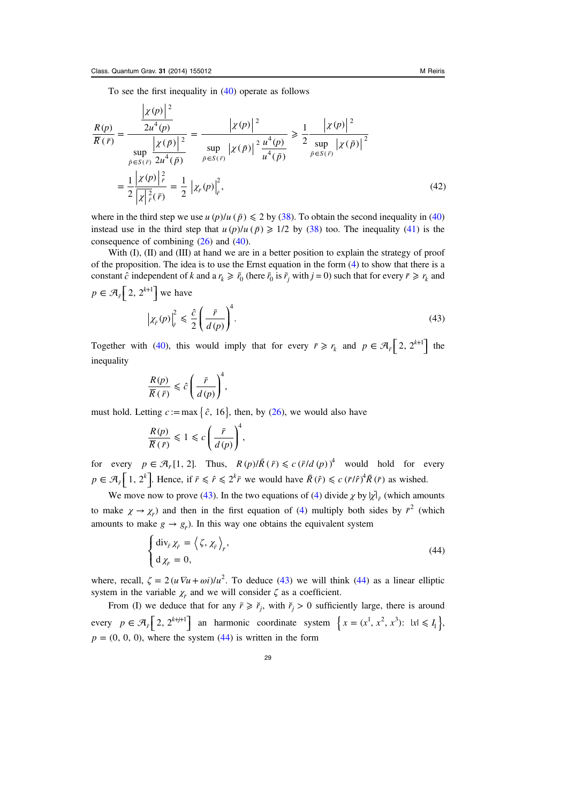$12$ 

<span id="page-29-0"></span>To see the first inequality in ([40\)](#page-28-0) operate as follows

$$
\frac{R(p)}{\overline{R}(\overline{r})} = \frac{\frac{|\chi(p)|^2}{2u^4(p)}}{\sup_{p \in S(\overline{r})} \frac{|\chi(\overline{p})|^2}{2u^4(\overline{p})}} = \frac{|\chi(p)|^2}{\sup_{p \in S(\overline{r})} |\chi(\overline{p})|^2 \frac{u^4(p)}{u^4(\overline{p})}} \ge \frac{1}{2} \frac{|\chi(p)|^2}{\sup_{p \in S(\overline{r})} |\chi(\overline{p})|^2}
$$

$$
= \frac{1}{2} \frac{|\chi(p)|^2}{|\chi|^2_{\overline{r}}(\overline{r})} = \frac{1}{2} |\chi_{\overline{r}}(p)|^2_{\overline{r}}, \tag{42}
$$

where in the third step we use  $u(p)/u(\bar{p}) \leq 2$  by [\(38](#page-28-0)). To obtain the second inequality in [\(40](#page-28-0)) instead use in the third step that  $u(p)/u(\bar{p}) \ge 1/2$  by [\(38](#page-28-0)) too. The inequality ([41\)](#page-28-0) is the consequence of combining ([26\)](#page-25-0) and [\(40](#page-28-0)).

With (I), (II) and (III) at hand we are in a better position to explain the strategy of proof of the proposition. The idea is to use the Ernst equation in the form [\(4](#page-11-0)) to show that there is a constant  $\hat{c}$  independent of k and a  $r_k \geq \tilde{r}_0$  (here  $\tilde{r}_0$  is  $\tilde{r}_j$  with  $j = 0$ ) such that for every  $\bar{r} \geq r_k$  and  $p \in \mathcal{A}_r$  [2, 2<sup>k+1</sup>] we have

$$
\left|\chi_{\vec{r}}\left(p\right)\right|_{\vec{r}}^2 \leq \frac{\hat{c}}{2} \left(\frac{\bar{r}}{d\left(p\right)}\right)^4. \tag{43}
$$

Together with ([40](#page-28-0)), this would imply that for every  $\bar{r} \ge r_k$  and  $p \in \mathcal{A}_r$  [2, 2<sup>k+1</sup>] the inequality

$$
\frac{R(p)}{\overline{R}(\overline{r})} \leq \hat{c} \left( \frac{\overline{r}}{d(p)} \right)^4,
$$

must hold. Letting  $c := max \{ \hat{c}, 16 \}$ , then, by [\(26\)](#page-25-0), we would also have

$$
\frac{R(p)}{\overline{R}\left(\bar{r}\right)}\leqslant 1\leqslant c\left(\frac{\bar{r}}{d\left(p\right)}\right)^{\!4}\!,
$$

for every  $p \in \mathcal{A}_F[1, 2]$ . Thus,  $R(p)/\overline{R}(\overline{r}) \leq c (\overline{r}/d(p))^4$  would hold for every  $p \in \mathcal{A}_r$  1,  $2^k$ . Hence, if  $\bar{r} \leq \hat{r} \leq 2^k \bar{r}$  we would have  $\bar{R}(\hat{r}) \leq c (\bar{r}/\hat{r})^4 \bar{R}(\bar{r})$  as wished.

We move now to prove [\(4](#page-11-0)3). In the two equations of (4) divide  $\chi$  by  $|\bar{\chi}|_{\bar{r}}$  (which amounts to make  $\chi \to \chi_{\bar{r}}$ ) and then in the first equation of [\(4](#page-11-0)) multiply both sides by  $\bar{r}^2$  (which amounts to make  $g \to g_{\overline{r}}$ ). In this way one obtains the equivalent system

$$
\begin{cases} \operatorname{div}_{\bar{r}} \chi_{\bar{r}} = \left\langle \zeta, \chi_{\bar{r}} \right\rangle_{\bar{r}}, \\ d \chi_{\bar{r}} = 0, \end{cases}
$$
\n(44)

where, recall,  $\zeta = 2 (u \nabla u + \omega i) / u^2$ . To deduce (43) we will think (44) as a linear elliptic system in the variable  $\chi$ <sup>*r*</sup></sup> and we will consider  $\zeta$  as a coefficient.

From (I) we deduce that for any  $\bar{r} \geq \tilde{r}_j$ , with  $\tilde{r}_j > 0$  sufficiently large, there is around every  $p \in \mathcal{A}_F\left[2, 2^{k+j+1}\right]$  an harmonic coordinate system  $\left\{x = (x^1, x^2, x^3): |x| \leq l_1\right\}$  $p = (0, 0, 0)$ , where the system  $(44)$  is written in the form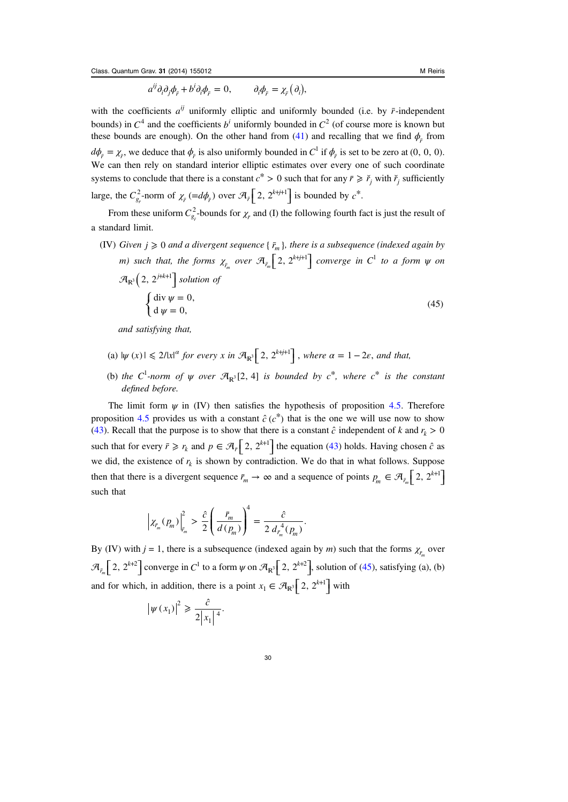$$
a^{ij}\partial_i\partial_j\phi_{\scriptscriptstyle F} + b^i\partial_i\phi_{\scriptscriptstyle F} = 0, \qquad \partial_i\phi_{\scriptscriptstyle F} = \chi_{\scriptscriptstyle F}(\partial_i),
$$

<span id="page-30-0"></span>with the coefficients  $a^{ij}$  uniformly elliptic and uniformly bounded (i.e. by  $\bar{r}$ -independent bounds) in  $C^4$  and the coefficients  $b^i$  uniformly bounded in  $C^2$  (of course more is known but these bounds are enough). On the other hand from ([41\)](#page-28-0) and recalling that we find  $\phi$ <sup>*r*</sup></sup> from  $d\phi_r = \chi_r$ , we deduce that  $\phi_r$  is also uniformly bounded in *C*<sup>1</sup> if  $\phi_r$  is set to be zero at (0, 0, 0). We can then rely on standard interior elliptic estimates over every one of such coordinate systems to conclude that there is a constant  $c^* > 0$  such that for any  $\bar{r} \geq \tilde{r}$ <sub>*i*</sub> with  $\tilde{r}$ <sub>*i*</sub> sufficiently large, the  $C_{g_r}^2$ -norm of  $\chi_{\bar{r}}$  (=d $\phi_{\bar{r}}$ ) over  $\mathcal{A}_{\bar{r}}$  [2, 2<sup>k+j+1</sup>] is bounded by  $c^*$ .

From these uniform  $C_{g_r}^2$ -bounds for  $\chi_r$  and (I) the following fourth fact is just the result of a standard limit.

- (IV) Given  $j \ge 0$  and a divergent sequence { $\bar{r}_m$ }, there is a subsequence (indexed again by
	- m) such that, the forms  $\chi_{\bar{r}_m}$  over  $\mathcal{A}_{\bar{r}_m}$   $\left[2, 2^{k+j+1}\right]$  converge in  $C^1$  to a form  $\psi$  on

$$
\mathcal{A}_{\mathbb{R}^3} \left( 2, 2^{j+k+1} \right] solution of
$$
  

$$
\begin{cases} \text{div } \psi = 0, \\ \text{d } \psi = 0, \end{cases}
$$
 (45)

and satisfying that,

- (a)  $|\psi(x)| \leq 2/|x|^{\alpha}$  for every x in  $\mathcal{A}_{\mathbb{R}^3}$   $\left[2, 2^{k+j+1}\right]$ , where  $\alpha = 1 2\varepsilon$ , and that,
- (b) the  $C^1$ -norm of  $\psi$  over  $\mathcal{A}_{\mathbb{R}^3}[2, 4]$  is bounded by  $c^*$ , where  $c^*$  is the constant defined before.

The limit form  $\psi$  in (IV) then satisfies the hypothesis of proposition [4.5](#page-26-0). Therefore proposition [4.5](#page-26-0) provides us with a constant  $\hat{c}(c^*)$  that is the one we will use now to show ([43\)](#page-29-0). Recall that the purpose is to show that there is a constant  $\hat{c}$  independent of k and  $r_k > 0$ such that for every  $\bar{r} \ge r_k$  and  $p \in \mathcal{A}_r$  2,  $2^{k+1}$  the equation [\(43\)](#page-29-0) holds. Having chosen  $\hat{c}$  as we did, the existence of  $r_k$  is shown by contradiction. We do that in what follows. Suppose then that there is a divergent sequence  $\bar{r}_m \to \infty$  and a sequence of points  $p_m \in \mathcal{A}_{\bar{r}_m}$  [2, 2<sup>k+1</sup>] such that

$$
\left|\chi_{\bar{r}_m}(p_m)\right|^2_{\bar{r}_m} > \frac{\hat{c}}{2}\left(\frac{\bar{r}_m}{d\left(p_m\right)}\right)^4 = \frac{\hat{c}}{2\,d_{\bar{r}_m}^{\,4}(p_m)}.
$$

By (IV) with  $j = 1$ , there is a subsequence (indexed again by *m*) such that the forms  $\chi_{\bar{r}_m}$  over  $\mathcal{A}_{\bar{r}_m}$  [2, 2<sup>k+2</sup>] converge in  $C^1$  to a form  $\psi$  on  $\mathcal{A}_{\mathbb{R}^3}$  [2, 2<sup>k+2</sup>], solution of (45), satisfying (a), (b) and for which, in addition, there is a point  $x_1 \in \mathcal{A}_{\mathbb{R}^3}$  [2, 2<sup>k+1</sup>] with

$$
\left|\psi\left(x_{1}\right)\right|^{2} \geqslant \frac{\hat{c}}{2\left|x_{1}\right|^{4}}.
$$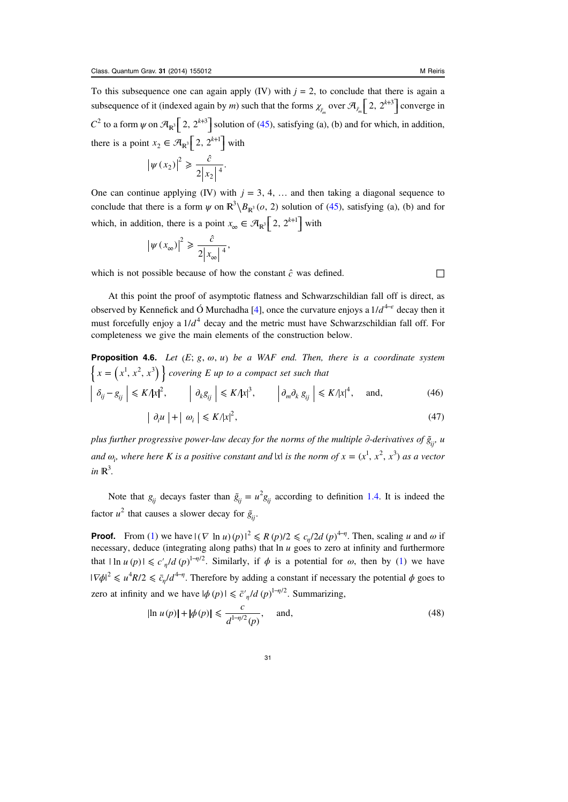<span id="page-31-0"></span>To this subsequence one can again apply (IV) with  $j = 2$ , to conclude that there is again a subsequence of it (indexed again by *m*) such that the forms  $\chi_{\bar{r}_m}$  over  $\mathcal{A}_{\bar{r}_m}$   $\left[2, 2^{k+3}\right]$  converge in  $C^2$  to a form  $\psi$  on  $\mathcal{A}_{\mathbb{R}^3}$   $\left[2, 2^{k+3}\right]$  solution of ([45\)](#page-30-0), satisfying (a), (b) and for which, in addition, there is a point  $x_2 \in \mathcal{A}_{\mathbb{R}^3}$  [2, 2<sup>k+1</sup>] with

$$
\left|\psi(x_2)\right|^2 \geq \frac{\hat{c}}{2|x_2|^4}.
$$

One can continue applying (IV) with  $j = 3, 4, \ldots$  and then taking a diagonal sequence to conclude that there is a form  $\psi$  on  $\mathbb{R}^3 \backslash B_{\mathbb{R}^3}$  (*o*, 2) solution of [\(45](#page-30-0)), satisfying (a), (b) and for which, in addition, there is a point  $x_{\infty} \in \mathcal{A}_{\mathbb{R}^3}$  [2, 2<sup>k+1</sup>] with

$$
\left|\psi\left(x_{\infty}\right)\right|^2 \geq \frac{\hat{c}}{2\left|x_{\infty}\right|^4},
$$

which is not possible because of how the constant  $\hat{c}$  was defined.  $\Box$ 

At this point the proof of asymptotic flatness and Schwarzschildian fall off is direct, as observed by Kennefick and Ó Murchadha [\[4](#page-33-0)], once the curvature enjoys a  $1/d^{4-\epsilon}$  decay then it must forcefully enjoy a  $1/d<sup>4</sup>$  decay and the metric must have Schwarzschildian fall off. For completeness we give the main elements of the construction below.

**Proposition 4.6.** Let 
$$
(E; g, \omega, u)
$$
 be a WAF end. Then, there is a coordinate system\n
$$
\left\{ x = \left( x^1, x^2, x^3 \right) \right\}
$$
\n*covering E up to a compact set such that*\n
$$
\left| \delta_{ij} - g_{ij} \right| \leq K / |x|^2, \qquad \left| \delta_k g_{ij} \right| \leq K / |x|^3, \qquad \left| \delta_m \partial_k g_{ij} \right| \leq K / |x|^4, \text{ and,}
$$
\n
$$
\left| \delta_i u \right| + \left| \omega_i \right| \leq K / |x|^2,
$$
\n
$$
(47)
$$

plus further progressive power-law decay for the norms of the multiple ∂-derivatives of  $\tilde{g}_{ij}$ , u and  $\omega_i$ , where here K is a positive constant and |x| is the norm of  $x = (x^1, x^2, x^3)$  as a vector in  $\mathbb{R}^3$ .

Note that  $g_{ij}$  decays faster than  $\tilde{g}_{ij} = u^2 g_{ij}$  according to definition [1.4](#page-8-0). It is indeed the factor  $u^2$  that causes a slower decay for  $\tilde{g}_{ij}$ .

**Proof.** From ([1\)](#page-7-0) we have  $|(\nabla \ln u)(p)|^2 \le R(p)/2 \le c_\eta/2d(p)^{4-\eta}$ . Then, scaling u and  $\omega$  if necessary, deduce (integrating along paths) that ln *u* goes to zero at infinity and furthermore that  $|\ln u(p)| \leq c'_{\eta}/d(p)^{1-\eta/2}$ . Similarly, if  $\phi$  is a potential for  $\omega$ , then by [\(1](#page-7-0)) we have  $|\nabla \phi|^2 \leq u^4 R/2 \leq \bar{c}_{\eta}/d^{4-\eta}$ . Therefore by adding a constant if necessary the potential  $\phi$  goes to zero at infinity and we have  $|\phi(p)| \leq \bar{c}'_{\eta}/d(p)^{1-\eta/2}$ . Summarizing,

$$
|\ln u(p)| + |\phi(p)| \le \frac{c}{d^{1-\eta/2}(p)},
$$
 and, (48)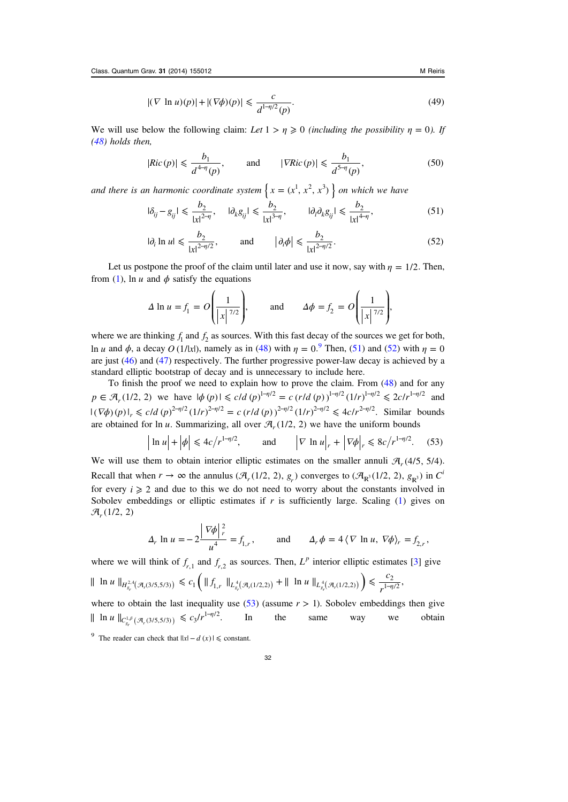$$
|(\nabla \ln u)(p)| + |(\nabla \phi)(p)| \leq \frac{c}{d^{1-\eta/2}(p)}.\tag{49}
$$

<span id="page-32-0"></span>We will use below the following claim: Let  $1 > \eta \ge 0$  (including the possibility  $\eta = 0$ ). If ([48\)](#page-31-0) holds then,

$$
|Ric(p)| \leq \frac{b_1}{d^{4-\eta}(p)}, \quad \text{and} \quad |\nabla Ric(p)| \leq \frac{b_1}{d^{5-\eta}(p)}, \tag{50}
$$

and there is an harmonic coordinate system  $\{x = (x^1, x^2, x^3)\}$  on which we have

$$
|\delta_{ij} - g_{ij}| \leqslant \frac{b_2}{|x|^{2-\eta}}, \quad |\partial_k g_{ij}| \leqslant \frac{b_2}{|x|^{3-\eta}}, \quad |\partial_l \partial_k g_{ij}| \leqslant \frac{b_2}{|x|^{4-\eta}}, \tag{51}
$$

$$
|\partial_i \ln u| \leq \frac{b_2}{|x|^{2-\eta/2}}, \qquad \text{and} \qquad |\partial_i \phi| \leq \frac{b_2}{|x|^{2-\eta/2}}.
$$
 (52)

Let us postpone the proof of the claim until later and use it now, say with  $\eta = 1/2$ . Then, from  $(1)$  $(1)$ , ln *u* and  $\phi$  satisfy the equations

$$
\Delta \ln u = f_1 = O\left(\frac{1}{|x|^{7/2}}\right), \quad \text{and} \quad \Delta \phi = f_2 = O\left(\frac{1}{|x|^{7/2}}\right),
$$

where we are thinking  $f_1$  and  $f_2$  as sources. With this fast decay of the sources we get for both, ln *u* and  $\phi$ , a decay  $O(1/|x|)$ , namely as in [\(48](#page-31-0)) with  $\eta = 0$ . Then, (51) and (52) with  $\eta = 0$ are just ([46](#page-31-0)) and ([47\)](#page-31-0) respectively. The further progressive power-law decay is achieved by a standard elliptic bootstrap of decay and is unnecessary to include here.

To finish the proof we need to explain how to prove the claim. From ([48\)](#page-31-0) and for any  $p \in \mathcal{A}_r(1/2, 2)$  we have  $|\phi(p)| \le c/d(p)^{1-\eta/2} = c (r/d(p))^{1-\eta/2} (1/r)^{1-\eta/2} \le 2c/r^{1-\eta/2}$  and  $|(\nabla \phi)(p)|_r \le c/d(p)^{2-\eta/2} (1/r)^{2-\eta/2} = c (r/d(p))^{2-\eta/2} (1/r)^{2-\eta/2} \le 4clr^{2-\eta/2}$ . Similar bounds are obtained for  $\ln u$ . Summarizing, all over  $\mathcal{A}_{n}(1/2, 2)$  we have the uniform bounds

$$
\left| \ln u \right| + \left| \phi \right| \leq 4c/r^{1-\eta/2},
$$
 and  $\left| \nabla \ln u \right|_{r} + \left| \nabla \phi \right|_{r} \leq 8c/r^{1-\eta/2}.$  (53)

We will use them to obtain interior elliptic estimates on the smaller annuli  $\mathcal{A}_r(4/5, 5/4)$ . Recall that when  $r \to \infty$  the annulus  $(\mathcal{A}_r(1/2, 2), g_r)$  converges to  $(\mathcal{A}_{\mathbb{R}^3}(1/2, 2), g_{\mathbb{R}^3})$  in  $C^i$ for every  $i \geq 2$  and due to this we do not need to worry about the constants involved in Sobolev embeddings or elliptic estimates if r is sufficiently large. Scaling  $(1)$  $(1)$  gives on  $\mathcal{A}_{r}(1/2, 2)$ 

$$
\Delta_r \ln u = -2 \frac{|\nabla \phi|_r^2}{u^4} = f_{1,r}, \quad \text{and} \quad \Delta_r \phi = 4 \langle \nabla \ln u, \nabla \phi \rangle_r = f_{2,r},
$$

where we will think of  $f_{r,1}$  and  $f_{r,2}$  as sources. Then,  $L^p$  interior elliptic estimates [[3\]](#page-33-0) give  $\| \ln u \|_{H^{2,4}_{g_r}(\mathcal{A}_r(3/5,5/3))} \leq c_1 \left( \|f_{1,r} \|_{L_{g_r}^4(\mathcal{A}_r(1/2,2))} + \| \ln u \|_{L_{g_r}^4(\mathcal{A}_r(1/2,2))} \right) \leq \frac{c_2}{r^{1-\eta/2}},$  $g_{s_r}^{2,4}(\mathcal{A}_{r}(3/5,5/3)) \leq C_1 \left( ||J_{1,r}||_{L_{g_r}^4(\mathcal{A}_{r}(1/2,2))} + || \text{ in } u ||_{L_{g_r}^4(\mathcal{A}_{r}(1/2,2))} \right) \leq \frac{C_1}{r^{1-\eta/2}}$ 

where to obtain the last inequality use  $(53)$  (assume  $r > 1$ ). Sobolev embeddings then give  $\| \ln u \|_{C^{1,\beta}_{g_r}(\mathcal{A}_r(3/5,5/3))} \leq c_3/r^{1-\eta/2}.$  In the same way we obtain

<sup>9</sup> The reader can check that  $||x| - d(x)| \le$  constant.